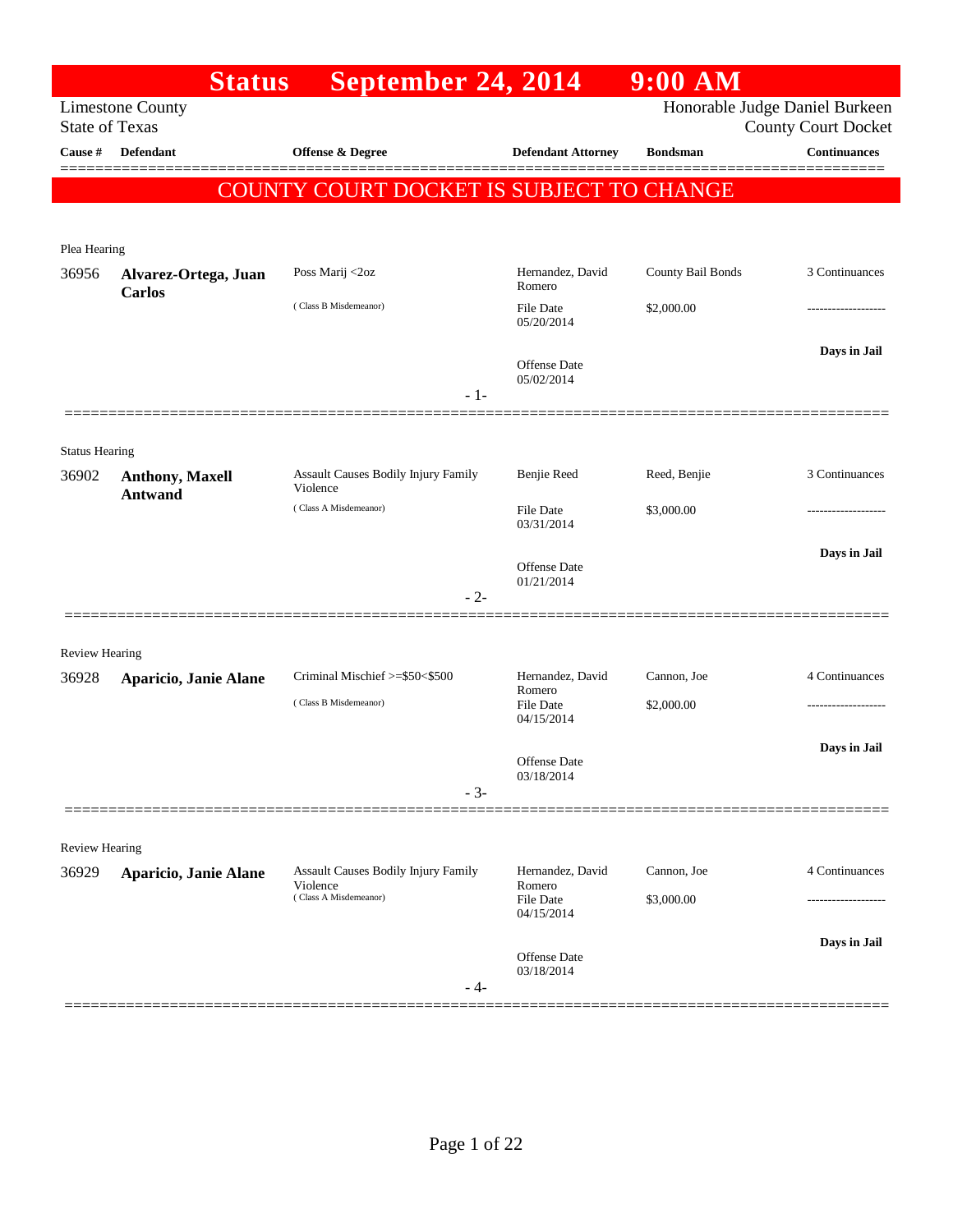|                                | <b>Status</b>                            | September 24, 2014                                     |                                   | $9:00$ AM         |                                                              |
|--------------------------------|------------------------------------------|--------------------------------------------------------|-----------------------------------|-------------------|--------------------------------------------------------------|
| <b>State of Texas</b>          | <b>Limestone County</b>                  |                                                        |                                   |                   | Honorable Judge Daniel Burkeen<br><b>County Court Docket</b> |
| Cause #                        | Defendant                                | Offense & Degree                                       | <b>Defendant Attorney</b>         | <b>Bondsman</b>   | <b>Continuances</b>                                          |
|                                |                                          | COUNTY COURT DOCKET IS SUBJECT TO CHANGE               |                                   |                   |                                                              |
|                                |                                          |                                                        |                                   |                   |                                                              |
| Plea Hearing                   |                                          |                                                        |                                   |                   |                                                              |
| 36956                          | Alvarez-Ortega, Juan<br><b>Carlos</b>    | Poss Marij <2oz                                        | Hernandez, David<br>Romero        | County Bail Bonds | 3 Continuances                                               |
|                                |                                          | (Class B Misdemeanor)                                  | File Date<br>05/20/2014           | \$2,000.00        | ----------------                                             |
|                                |                                          |                                                        | <b>Offense Date</b><br>05/02/2014 |                   | Days in Jail                                                 |
|                                |                                          | $-1-$                                                  |                                   |                   |                                                              |
|                                |                                          |                                                        |                                   |                   |                                                              |
| <b>Status Hearing</b><br>36902 | <b>Anthony, Maxell</b><br><b>Antwand</b> | <b>Assault Causes Bodily Injury Family</b><br>Violence | Benjie Reed                       | Reed, Benjie      | 3 Continuances                                               |
|                                |                                          | (Class A Misdemeanor)                                  | File Date<br>03/31/2014           | \$3,000.00        |                                                              |
|                                |                                          |                                                        | Offense Date<br>01/21/2014        |                   | Days in Jail                                                 |
|                                |                                          | $-2-$                                                  |                                   |                   |                                                              |
| <b>Review Hearing</b>          |                                          |                                                        |                                   |                   |                                                              |
| 36928                          | Aparicio, Janie Alane                    | Criminal Mischief >=\$50<\$500                         | Hernandez, David                  | Cannon, Joe       | 4 Continuances                                               |
|                                |                                          | (Class B Misdemeanor)                                  | Romero<br>File Date<br>04/15/2014 | \$2,000.00        | ---------------                                              |
|                                |                                          |                                                        | Offense Date                      |                   | Days in Jail                                                 |
|                                |                                          | $-3-$                                                  | 03/18/2014                        |                   |                                                              |
| <b>Review Hearing</b>          |                                          |                                                        |                                   |                   |                                                              |
| 36929                          | Aparicio, Janie Alane                    | Assault Causes Bodily Injury Family                    | Hernandez, David                  | Cannon, Joe       | 4 Continuances                                               |
|                                |                                          | Violence<br>(Class A Misdemeanor)                      | Romero<br>File Date<br>04/15/2014 | \$3,000.00        |                                                              |
|                                |                                          |                                                        | Offense Date                      |                   | Days in Jail                                                 |
|                                |                                          | - 4-                                                   | 03/18/2014                        |                   |                                                              |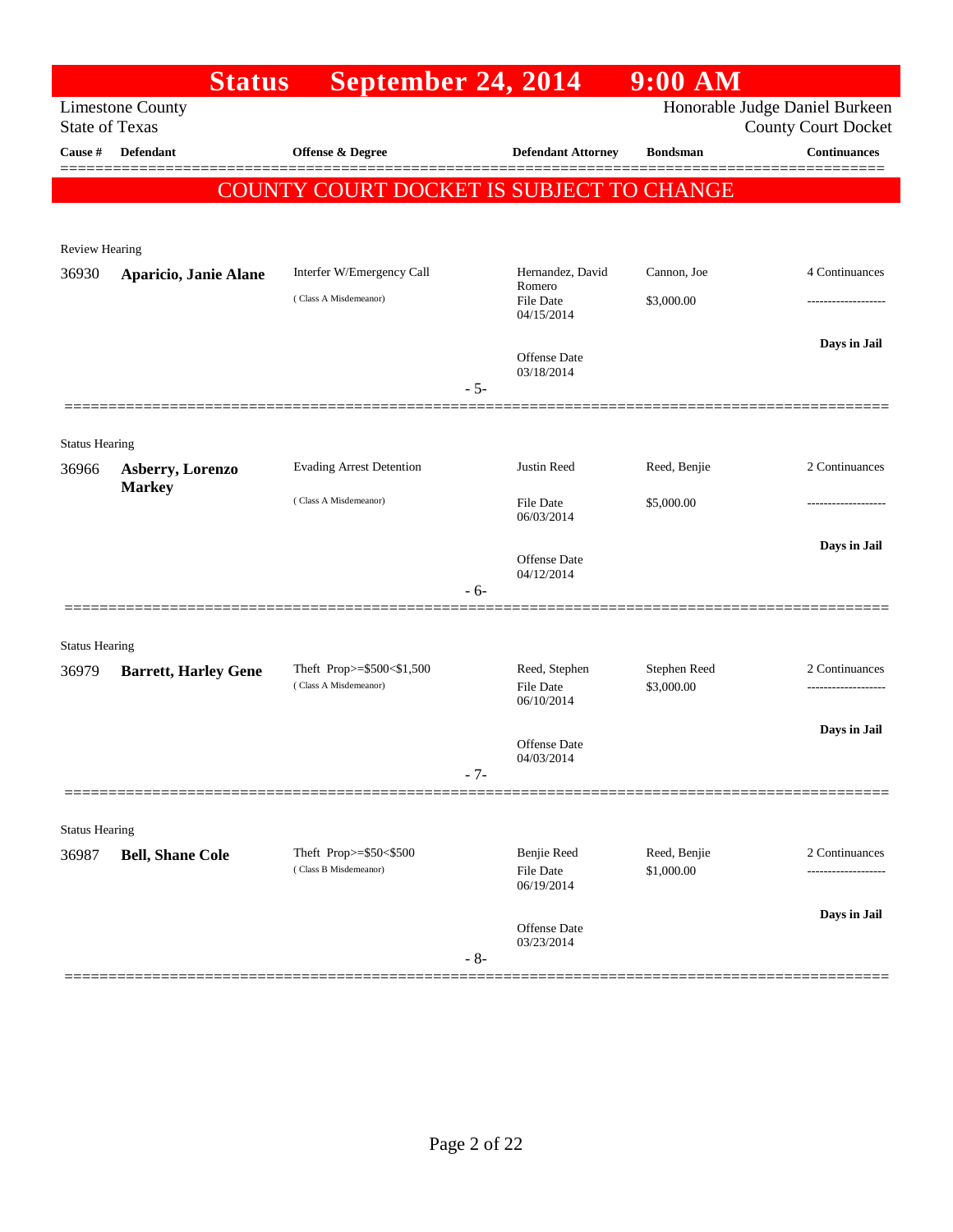|                                | <b>Status</b>               | September 24, 2014                                 |                                        | $9:00$ AM                  |                                                              |
|--------------------------------|-----------------------------|----------------------------------------------------|----------------------------------------|----------------------------|--------------------------------------------------------------|
| <b>State of Texas</b>          | <b>Limestone County</b>     |                                                    |                                        |                            | Honorable Judge Daniel Burkeen<br><b>County Court Docket</b> |
| Cause #                        | <b>Defendant</b>            | Offense & Degree                                   | <b>Defendant Attorney</b>              | <b>Bondsman</b>            | <b>Continuances</b>                                          |
|                                |                             | <b>COUNTY COURT DOCKET IS SUBJECT TO CHANGE</b>    |                                        |                            | ======                                                       |
|                                |                             |                                                    |                                        |                            |                                                              |
| <b>Review Hearing</b>          |                             |                                                    |                                        |                            |                                                              |
| 36930                          | Aparicio, Janie Alane       | Interfer W/Emergency Call                          | Hernandez, David<br>Romero             | Cannon, Joe                | 4 Continuances                                               |
|                                |                             | (Class A Misdemeanor)                              | File Date<br>04/15/2014                | \$3,000.00                 |                                                              |
|                                |                             |                                                    | Offense Date<br>03/18/2014             |                            | Days in Jail                                                 |
|                                |                             |                                                    | $-5-$                                  |                            |                                                              |
|                                |                             |                                                    |                                        |                            |                                                              |
| <b>Status Hearing</b><br>36966 | Asberry, Lorenzo            | <b>Evading Arrest Detention</b>                    | Justin Reed                            | Reed, Benjie               | 2 Continuances                                               |
|                                | <b>Markey</b>               | (Class A Misdemeanor)                              | File Date<br>06/03/2014                | \$5,000.00                 |                                                              |
|                                |                             |                                                    | Offense Date                           |                            | Days in Jail                                                 |
|                                |                             |                                                    | 04/12/2014<br>$-6-$                    |                            |                                                              |
| <b>Status Hearing</b>          |                             |                                                    |                                        |                            |                                                              |
| 36979                          | <b>Barrett, Harley Gene</b> | Theft Prop>=\$500<\$1,500<br>(Class A Misdemeanor) | Reed, Stephen<br><b>File Date</b>      | Stephen Reed<br>\$3,000.00 | 2 Continuances                                               |
|                                |                             |                                                    | 06/10/2014                             |                            |                                                              |
|                                |                             |                                                    | Offense Date                           |                            | Days in Jail                                                 |
|                                |                             |                                                    | 04/03/2014<br>$-7-$                    |                            |                                                              |
|                                |                             |                                                    |                                        |                            |                                                              |
| <b>Status Hearing</b>          |                             |                                                    |                                        |                            |                                                              |
| 36987                          | <b>Bell, Shane Cole</b>     | Theft Prop>=\$50<\$500<br>(Class B Misdemeanor)    | Benjie Reed<br>File Date<br>06/19/2014 | Reed, Benjie<br>\$1,000.00 | 2 Continuances                                               |
|                                |                             |                                                    |                                        |                            | Days in Jail                                                 |
|                                |                             |                                                    | Offense Date<br>03/23/2014<br>$-8-$    |                            |                                                              |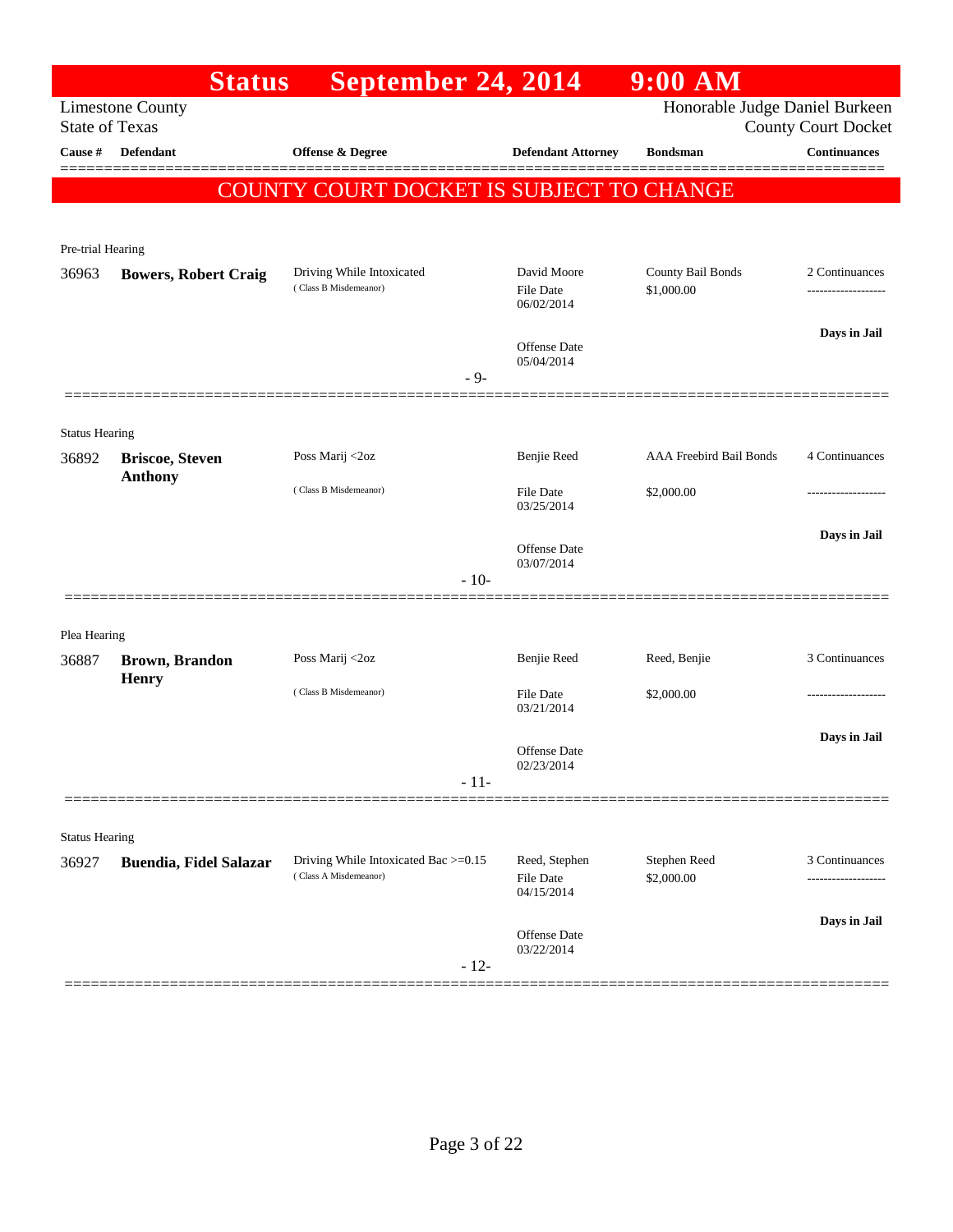|                       | <b>Status</b>                   | September 24, 2014                                            |                                               | 9:00 AM                         |                            |
|-----------------------|---------------------------------|---------------------------------------------------------------|-----------------------------------------------|---------------------------------|----------------------------|
| <b>State of Texas</b> | <b>Limestone County</b>         |                                                               |                                               | Honorable Judge Daniel Burkeen  | <b>County Court Docket</b> |
| Cause #               | <b>Defendant</b>                | Offense & Degree                                              | <b>Defendant Attorney</b>                     | <b>Bondsman</b>                 | <b>Continuances</b>        |
|                       |                                 | <b>COUNTY COURT DOCKET IS SUBJECT TO CHANGE</b>               |                                               |                                 | =======                    |
|                       |                                 |                                                               |                                               |                                 |                            |
| Pre-trial Hearing     |                                 |                                                               |                                               |                                 |                            |
| 36963                 | <b>Bowers, Robert Craig</b>     | Driving While Intoxicated<br>(Class B Misdemeanor)            | David Moore<br><b>File Date</b><br>06/02/2014 | County Bail Bonds<br>\$1,000.00 | 2 Continuances             |
|                       |                                 |                                                               | <b>Offense Date</b><br>05/04/2014             |                                 | Days in Jail               |
|                       |                                 |                                                               | $-9-$                                         |                                 |                            |
| <b>Status Hearing</b> |                                 |                                                               |                                               |                                 |                            |
| 36892                 | <b>Briscoe, Steven</b>          | Poss Marij <2oz                                               | Benjie Reed                                   | <b>AAA Freebird Bail Bonds</b>  | 4 Continuances             |
|                       | <b>Anthony</b>                  | (Class B Misdemeanor)                                         | <b>File Date</b><br>03/25/2014                | \$2,000.00                      | -------------------        |
|                       |                                 |                                                               | <b>Offense Date</b><br>03/07/2014             |                                 | Days in Jail               |
|                       |                                 |                                                               | $-10-$                                        |                                 |                            |
| Plea Hearing          |                                 |                                                               |                                               |                                 |                            |
| 36887                 | <b>Brown</b> , Brandon<br>Henry | Poss Marij <2oz                                               | Benjie Reed                                   | Reed, Benjie                    | 3 Continuances             |
|                       |                                 | (Class B Misdemeanor)                                         | <b>File Date</b><br>03/21/2014                | \$2,000.00                      |                            |
|                       |                                 |                                                               | <b>Offense Date</b>                           |                                 | Days in Jail               |
|                       |                                 |                                                               | 02/23/2014<br>$-11-$                          |                                 |                            |
|                       |                                 |                                                               |                                               |                                 |                            |
| <b>Status Hearing</b> |                                 |                                                               |                                               |                                 |                            |
| 36927                 | <b>Buendia, Fidel Salazar</b>   | Driving While Intoxicated Bac >=0.15<br>(Class A Misdemeanor) | Reed, Stephen<br>File Date<br>04/15/2014      | Stephen Reed<br>\$2,000.00      | 3 Continuances             |
|                       |                                 |                                                               | Offense Date<br>03/22/2014<br>$-12-$          |                                 | Days in Jail               |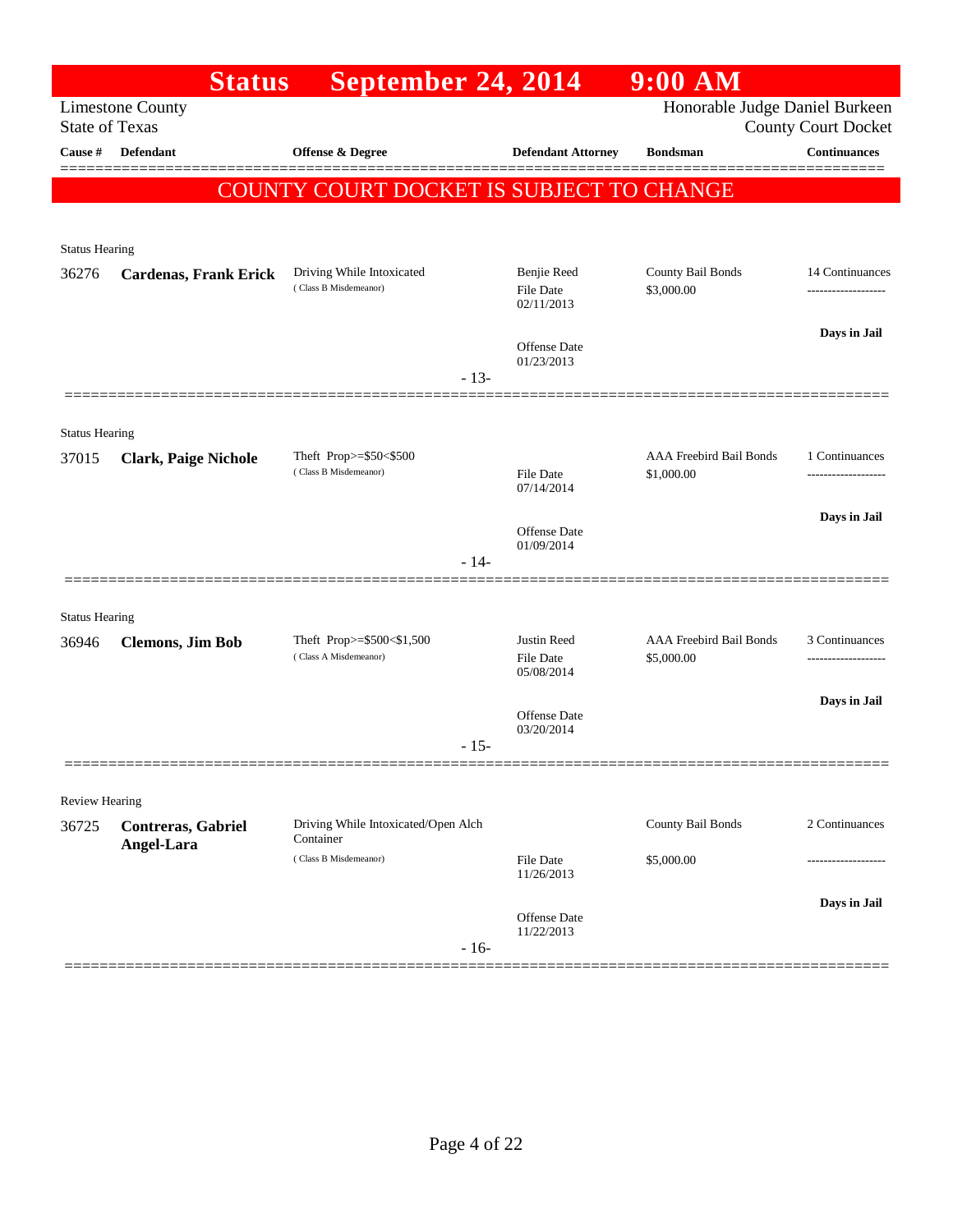|                       | <b>Status</b>                    | September 24, 2014                                 |                                        | $9:00$ AM                             |                            |
|-----------------------|----------------------------------|----------------------------------------------------|----------------------------------------|---------------------------------------|----------------------------|
| <b>State of Texas</b> | <b>Limestone County</b>          |                                                    |                                        | Honorable Judge Daniel Burkeen        | <b>County Court Docket</b> |
| <b>Cause #</b>        | Defendant                        | Offense & Degree                                   | <b>Defendant Attorney</b>              | <b>Bondsman</b>                       | <b>Continuances</b>        |
|                       |                                  | <b>COUNTY COURT DOCKET IS SUBJECT TO CHANGE</b>    |                                        |                                       | =======                    |
|                       |                                  |                                                    |                                        |                                       |                            |
| <b>Status Hearing</b> |                                  |                                                    |                                        |                                       |                            |
| 36276                 | <b>Cardenas, Frank Erick</b>     | Driving While Intoxicated<br>(Class B Misdemeanor) | Benjie Reed<br>File Date<br>02/11/2013 | County Bail Bonds<br>\$3,000.00       | 14 Continuances            |
|                       |                                  |                                                    | Offense Date<br>01/23/2013             |                                       | Days in Jail               |
|                       |                                  |                                                    | $-13-$                                 |                                       |                            |
| <b>Status Hearing</b> |                                  |                                                    |                                        |                                       |                            |
| 37015                 | <b>Clark, Paige Nichole</b>      | Theft Prop>=\$50<\$500                             |                                        | AAA Freebird Bail Bonds               | 1 Continuances             |
|                       |                                  | (Class B Misdemeanor)                              | File Date<br>07/14/2014                | \$1,000.00                            |                            |
|                       |                                  |                                                    | Offense Date                           |                                       | Days in Jail               |
|                       |                                  |                                                    | 01/09/2014<br>$-14-$                   |                                       |                            |
|                       |                                  |                                                    |                                        |                                       |                            |
| <b>Status Hearing</b> |                                  |                                                    |                                        |                                       |                            |
| 36946                 | <b>Clemons, Jim Bob</b>          | Theft Prop>=\$500<\$1,500<br>(Class A Misdemeanor) | Justin Reed<br>File Date<br>05/08/2014 | AAA Freebird Bail Bonds<br>\$5,000.00 | 3 Continuances             |
|                       |                                  |                                                    | Offense Date                           |                                       | Days in Jail               |
|                       |                                  |                                                    | 03/20/2014<br>$-15-$                   |                                       |                            |
|                       |                                  |                                                    |                                        |                                       |                            |
| Review Hearing        |                                  |                                                    |                                        |                                       |                            |
| 36725                 | Contreras, Gabriel<br>Angel-Lara | Driving While Intoxicated/Open Alch<br>Container   |                                        | County Bail Bonds                     | 2 Continuances             |
|                       |                                  | (Class B Misdemeanor)                              | File Date<br>11/26/2013                | \$5,000.00                            |                            |
|                       |                                  |                                                    | Offense Date                           |                                       | Days in Jail               |
|                       |                                  |                                                    | 11/22/2013<br>$-16-$                   |                                       |                            |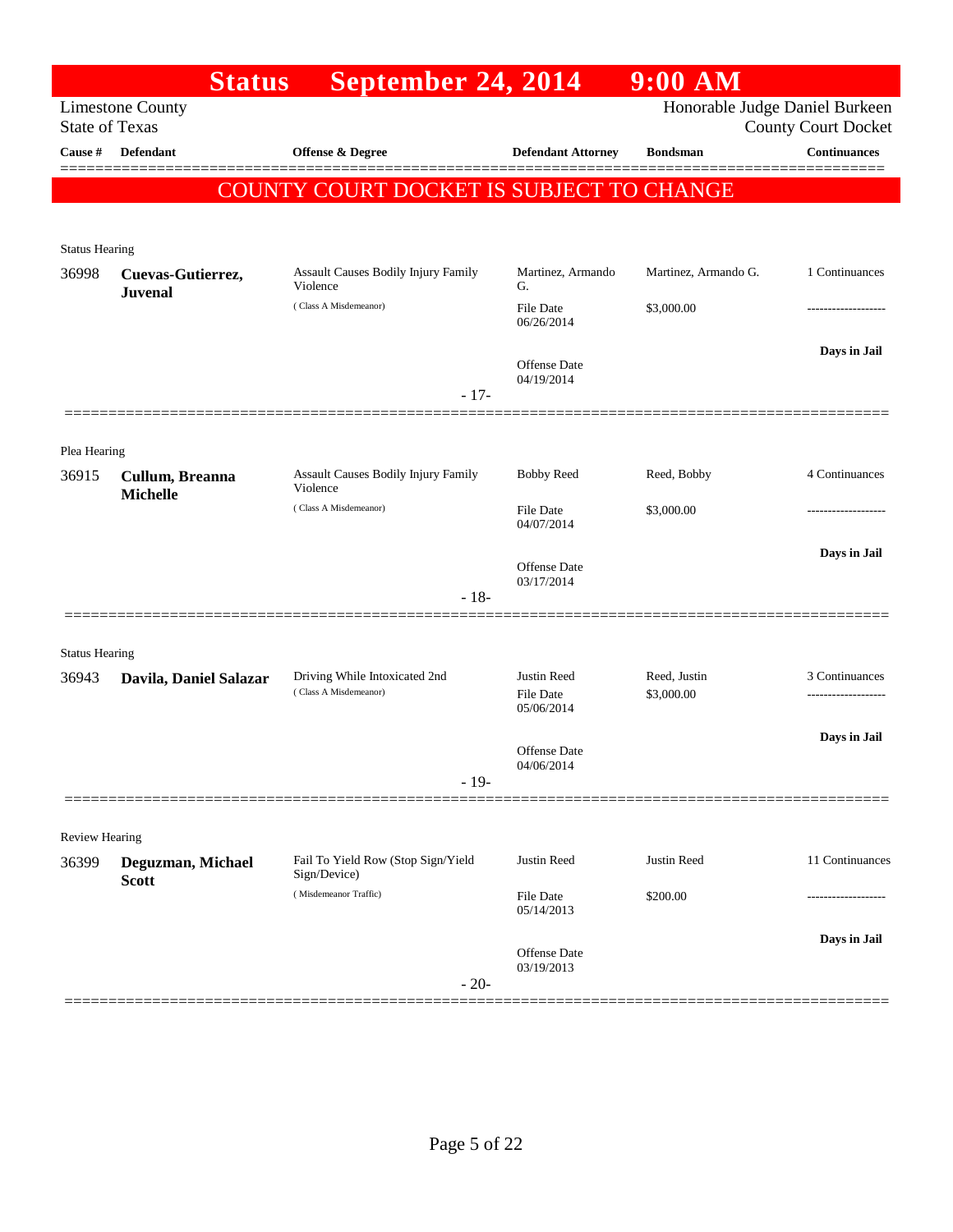|                       | <b>Status</b>                       | September 24, 2014                                                          |                                               | $9:00$ AM                      |                            |
|-----------------------|-------------------------------------|-----------------------------------------------------------------------------|-----------------------------------------------|--------------------------------|----------------------------|
| <b>State of Texas</b> | <b>Limestone County</b>             |                                                                             |                                               | Honorable Judge Daniel Burkeen | <b>County Court Docket</b> |
| Cause #               | <b>Defendant</b>                    | <b>Offense &amp; Degree</b>                                                 | <b>Defendant Attorney</b>                     | <b>Bondsman</b>                | <b>Continuances</b>        |
|                       |                                     | <b>COUNTY COURT DOCKET IS SUBJECT TO CHANGE</b>                             |                                               |                                |                            |
| <b>Status Hearing</b> |                                     |                                                                             |                                               |                                |                            |
| 36998                 | Cuevas-Gutierrez,<br><b>Juvenal</b> | <b>Assault Causes Bodily Injury Family</b><br>Violence                      | Martinez, Armando<br>G.                       | Martinez, Armando G.           | 1 Continuances             |
|                       |                                     | (Class A Misdemeanor)                                                       | File Date<br>06/26/2014                       | \$3,000.00                     | -------------------        |
|                       |                                     |                                                                             | Offense Date<br>04/19/2014                    |                                | Days in Jail               |
|                       |                                     | $-17-$                                                                      |                                               |                                |                            |
| Plea Hearing          |                                     |                                                                             |                                               |                                |                            |
| 36915                 | Cullum, Breanna<br><b>Michelle</b>  | Assault Causes Bodily Injury Family<br>Violence                             | <b>Bobby Reed</b>                             | Reed, Bobby                    | 4 Continuances             |
|                       |                                     | (Class A Misdemeanor)                                                       | File Date<br>04/07/2014                       | \$3,000.00                     |                            |
|                       |                                     |                                                                             | Offense Date                                  |                                | Days in Jail               |
|                       |                                     | $-18-$                                                                      | 03/17/2014                                    |                                |                            |
| <b>Status Hearing</b> |                                     |                                                                             |                                               |                                |                            |
| 36943                 | Davila, Daniel Salazar              | Driving While Intoxicated 2nd<br>(Class A Misdemeanor)                      | Justin Reed<br><b>File Date</b><br>05/06/2014 | Reed, Justin<br>\$3,000.00     | 3 Continuances             |
|                       |                                     | $-19-$                                                                      | Offense Date<br>04/06/2014                    |                                | Days in Jail               |
|                       |                                     |                                                                             |                                               |                                |                            |
| <b>Review Hearing</b> |                                     |                                                                             |                                               |                                |                            |
| 36399                 | Deguzman, Michael<br><b>Scott</b>   | Fail To Yield Row (Stop Sign/Yield<br>Sign/Device)<br>(Misdemeanor Traffic) | Justin Reed<br>File Date                      | Justin Reed<br>\$200.00        | 11 Continuances<br>        |
|                       |                                     |                                                                             | 05/14/2013                                    |                                | Days in Jail               |
|                       |                                     | $-20-$                                                                      | Offense Date<br>03/19/2013                    |                                |                            |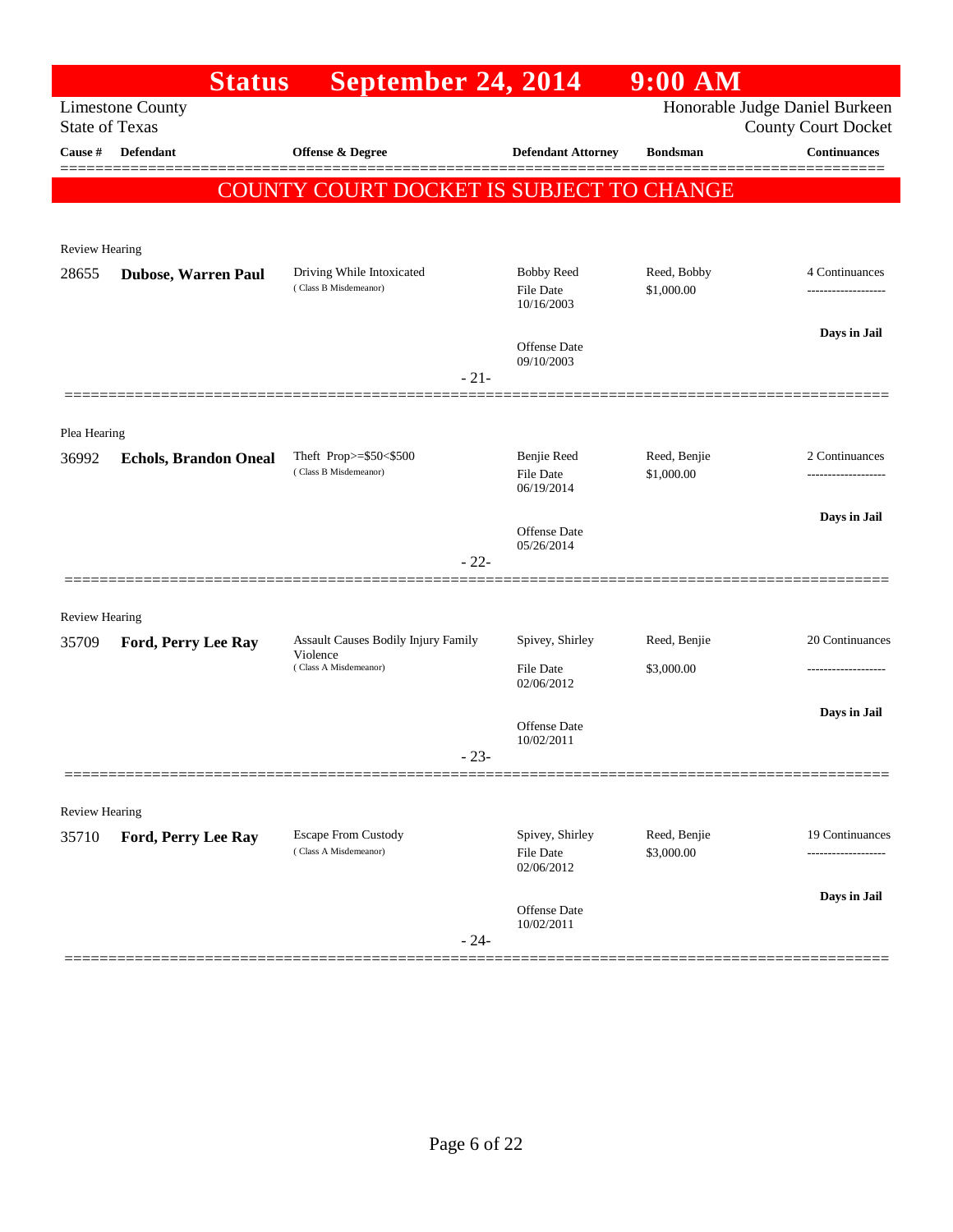|                       | <b>Status</b>                | September 24, 2014                                  |                                               | $9:00$ AM                  |                                                              |
|-----------------------|------------------------------|-----------------------------------------------------|-----------------------------------------------|----------------------------|--------------------------------------------------------------|
| <b>State of Texas</b> | <b>Limestone County</b>      |                                                     |                                               |                            | Honorable Judge Daniel Burkeen<br><b>County Court Docket</b> |
| Cause #               | <b>Defendant</b>             | Offense & Degree                                    | <b>Defendant Attorney</b>                     | <b>Bondsman</b>            | <b>Continuances</b>                                          |
|                       |                              | <b>COUNTY COURT DOCKET IS SUBJECT TO CHANGE</b>     |                                               |                            | =======                                                      |
|                       |                              |                                                     |                                               |                            |                                                              |
| Review Hearing        |                              |                                                     |                                               |                            |                                                              |
| 28655                 | <b>Dubose, Warren Paul</b>   | Driving While Intoxicated<br>(Class B Misdemeanor)  | <b>Bobby Reed</b><br>File Date<br>10/16/2003  | Reed, Bobby<br>\$1,000.00  | 4 Continuances                                               |
|                       |                              |                                                     | Offense Date<br>09/10/2003                    |                            | Days in Jail                                                 |
|                       |                              | $-21-$                                              |                                               |                            |                                                              |
| Plea Hearing          |                              |                                                     |                                               |                            |                                                              |
| 36992                 | <b>Echols, Brandon Oneal</b> | Theft Prop>=\$50<\$500<br>(Class B Misdemeanor)     | Benjie Reed<br><b>File Date</b><br>06/19/2014 | Reed, Benjie<br>\$1,000.00 | 2 Continuances                                               |
|                       |                              |                                                     | Offense Date                                  |                            | Days in Jail                                                 |
|                       |                              | $-22-$                                              | 05/26/2014                                    |                            |                                                              |
| <b>Review Hearing</b> |                              |                                                     |                                               |                            |                                                              |
| 35709                 | Ford, Perry Lee Ray          | Assault Causes Bodily Injury Family                 | Spivey, Shirley                               | Reed, Benjie               | 20 Continuances                                              |
|                       |                              | Violence<br>(Class A Misdemeanor)                   | File Date<br>02/06/2012                       | \$3,000.00                 |                                                              |
|                       |                              |                                                     | Offense Date<br>10/02/2011                    |                            | Days in Jail                                                 |
|                       |                              | $-23-$                                              |                                               |                            |                                                              |
| Review Hearing        |                              |                                                     |                                               |                            |                                                              |
| 35710                 | Ford, Perry Lee Ray          | <b>Escape From Custody</b><br>(Class A Misdemeanor) | Spivey, Shirley<br>File Date<br>02/06/2012    | Reed, Benjie<br>\$3,000.00 | 19 Continuances                                              |
|                       |                              |                                                     | Offense Date                                  |                            | Days in Jail                                                 |
|                       |                              | $-24-$                                              | 10/02/2011                                    |                            |                                                              |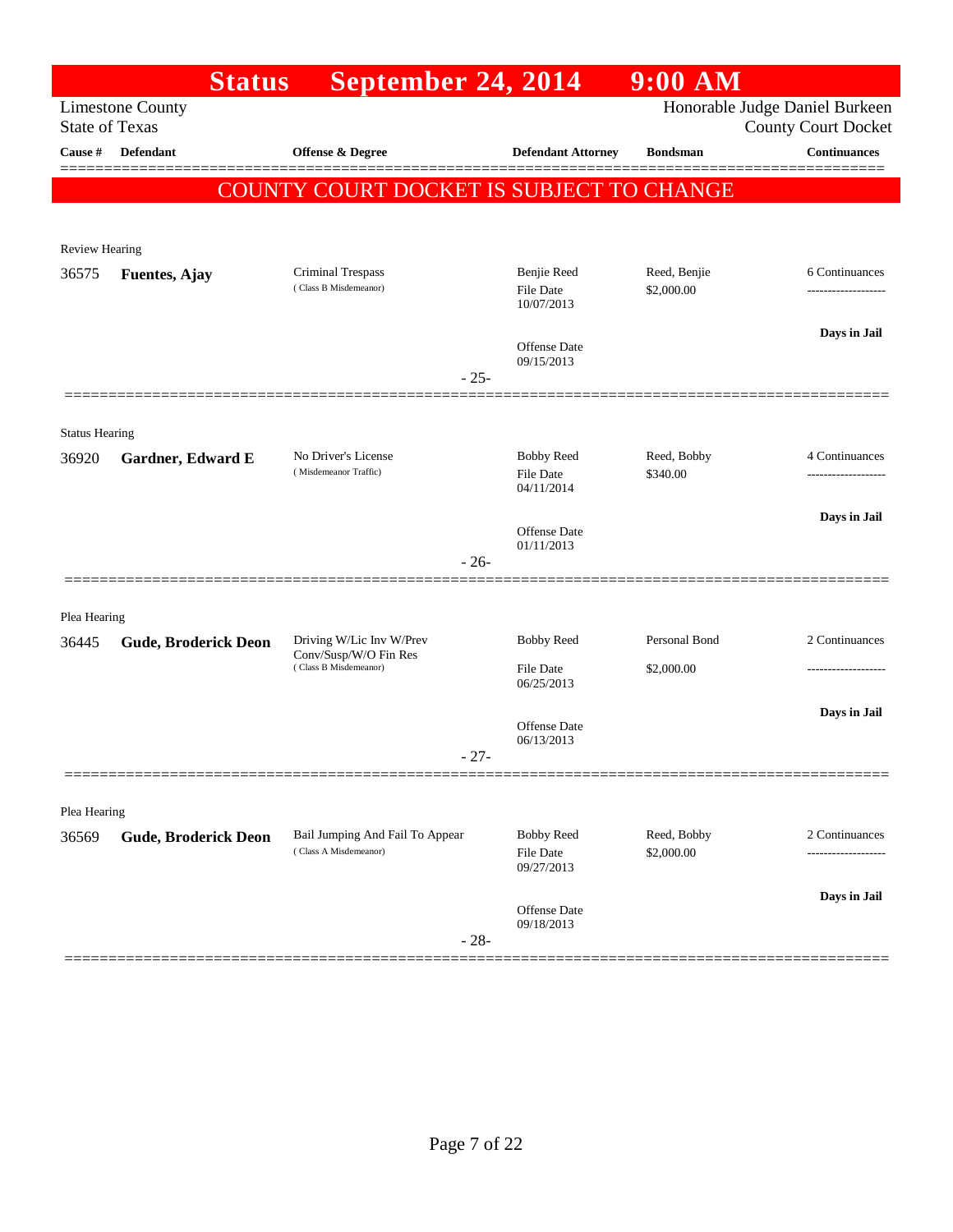|                       | <b>Status</b>                                    | September 24, 2014                                                         |                                              | $9:00$ AM                   |                                                              |
|-----------------------|--------------------------------------------------|----------------------------------------------------------------------------|----------------------------------------------|-----------------------------|--------------------------------------------------------------|
|                       | <b>Limestone County</b><br><b>State of Texas</b> |                                                                            |                                              |                             | Honorable Judge Daniel Burkeen<br><b>County Court Docket</b> |
| Cause #               | <b>Defendant</b>                                 | Offense & Degree                                                           | <b>Defendant Attorney</b>                    | <b>Bondsman</b>             | Continuances                                                 |
|                       |                                                  | COUNTY COURT DOCKET IS SUBJECT TO CHANGE                                   |                                              |                             |                                                              |
| <b>Review Hearing</b> |                                                  |                                                                            |                                              |                             |                                                              |
| 36575                 | <b>Fuentes, Ajay</b>                             | Criminal Trespass<br>(Class B Misdemeanor)                                 | Benjie Reed<br>File Date<br>10/07/2013       | Reed, Benjie<br>\$2,000.00  | 6 Continuances                                               |
|                       |                                                  | $-25-$                                                                     | Offense Date<br>09/15/2013                   |                             | Days in Jail                                                 |
| <b>Status Hearing</b> |                                                  |                                                                            |                                              |                             |                                                              |
| 36920                 | Gardner, Edward E                                | No Driver's License<br>(Misdemeanor Traffic)                               | <b>Bobby Reed</b><br>File Date<br>04/11/2014 | Reed, Bobby<br>\$340.00     | 4 Continuances                                               |
|                       |                                                  | $-26-$                                                                     | Offense Date<br>01/11/2013                   |                             | Days in Jail                                                 |
| Plea Hearing          |                                                  |                                                                            |                                              |                             |                                                              |
| 36445                 | <b>Gude, Broderick Deon</b>                      | Driving W/Lic Inv W/Prev<br>Conv/Susp/W/O Fin Res<br>(Class B Misdemeanor) | <b>Bobby Reed</b><br>File Date               | Personal Bond<br>\$2,000.00 | 2 Continuances<br>-------------------                        |
|                       |                                                  | $-27-$                                                                     | 06/25/2013<br>Offense Date<br>06/13/2013     |                             | Days in Jail                                                 |
|                       |                                                  |                                                                            |                                              |                             |                                                              |
| Plea Hearing<br>36569 | <b>Gude, Broderick Deon</b>                      | Bail Jumping And Fail To Appear<br>(Class A Misdemeanor)                   | <b>Bobby Reed</b><br>File Date<br>09/27/2013 | Reed, Bobby<br>\$2,000.00   | 2 Continuances<br>-----------------                          |
|                       |                                                  | $-28-$                                                                     | Offense Date<br>09/18/2013                   |                             | Days in Jail                                                 |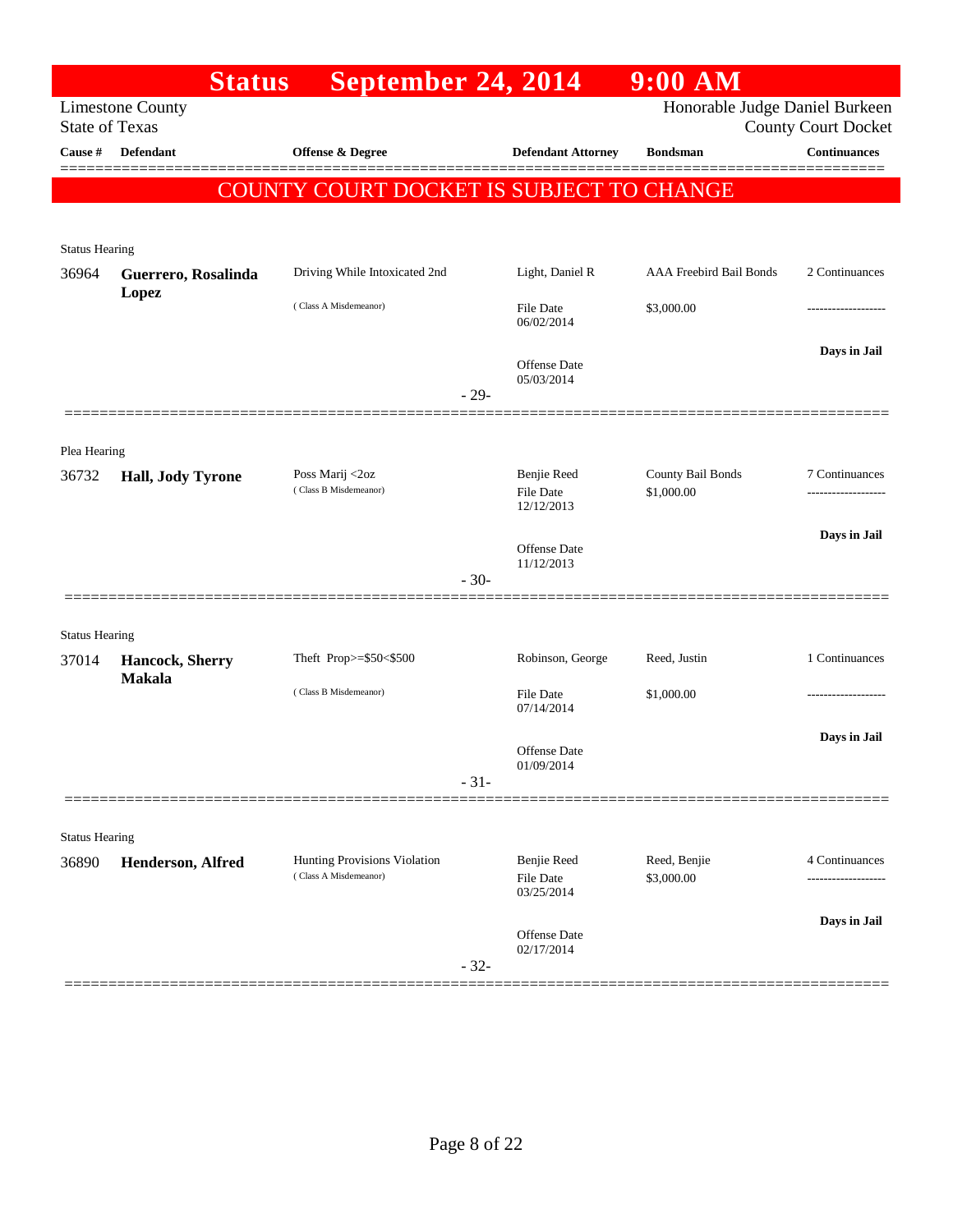|                       | <b>Status</b>                | September 24, 2014                              |        |                                   | $9:00$ AM                       |                                                   |
|-----------------------|------------------------------|-------------------------------------------------|--------|-----------------------------------|---------------------------------|---------------------------------------------------|
| <b>State of Texas</b> | <b>Limestone County</b>      |                                                 |        |                                   | Honorable Judge Daniel Burkeen  |                                                   |
| Cause #               | <b>Defendant</b>             | Offense & Degree                                |        | <b>Defendant Attorney</b>         | <b>Bondsman</b>                 | <b>County Court Docket</b><br><b>Continuances</b> |
|                       |                              |                                                 |        |                                   |                                 |                                                   |
|                       |                              | <b>COUNTY COURT DOCKET IS SUBJECT TO CHANGE</b> |        |                                   |                                 |                                                   |
|                       |                              |                                                 |        |                                   |                                 |                                                   |
| <b>Status Hearing</b> |                              |                                                 |        |                                   |                                 |                                                   |
| 36964                 | Guerrero, Rosalinda<br>Lopez | Driving While Intoxicated 2nd                   |        | Light, Daniel R                   | AAA Freebird Bail Bonds         | 2 Continuances                                    |
|                       |                              | (Class A Misdemeanor)                           |        | <b>File Date</b><br>06/02/2014    | \$3,000.00                      | -------------------                               |
|                       |                              |                                                 |        |                                   |                                 | Days in Jail                                      |
|                       |                              |                                                 |        | <b>Offense Date</b><br>05/03/2014 |                                 |                                                   |
|                       |                              |                                                 | $-29-$ |                                   |                                 |                                                   |
|                       |                              |                                                 |        |                                   |                                 |                                                   |
| Plea Hearing          |                              |                                                 |        |                                   |                                 |                                                   |
| 36732                 | Hall, Jody Tyrone            | Poss Marij <2oz<br>(Class B Misdemeanor)        |        | Benjie Reed<br><b>File Date</b>   | County Bail Bonds<br>\$1,000.00 | 7 Continuances<br>.                               |
|                       |                              |                                                 |        | 12/12/2013                        |                                 |                                                   |
|                       |                              |                                                 |        | <b>Offense Date</b>               |                                 | Days in Jail                                      |
|                       |                              |                                                 | $-30-$ | 11/12/2013                        |                                 |                                                   |
|                       |                              |                                                 |        |                                   |                                 |                                                   |
| <b>Status Hearing</b> |                              |                                                 |        |                                   |                                 |                                                   |
| 37014                 | Hancock, Sherry              | Theft Prop>=\$50<\$500                          |        | Robinson, George                  | Reed, Justin                    | 1 Continuances                                    |
|                       | <b>Makala</b>                | (Class B Misdemeanor)                           |        | <b>File Date</b>                  | \$1,000.00                      |                                                   |
|                       |                              |                                                 |        | 07/14/2014                        |                                 |                                                   |
|                       |                              |                                                 |        | Offense Date                      |                                 | Days in Jail                                      |
|                       |                              |                                                 | $-31-$ | 01/09/2014                        |                                 |                                                   |
|                       |                              |                                                 |        |                                   |                                 |                                                   |
| <b>Status Hearing</b> |                              |                                                 |        |                                   |                                 |                                                   |
| 36890                 | Henderson, Alfred            | Hunting Provisions Violation                    |        | Benjie Reed                       | Reed, Benjie                    | 4 Continuances                                    |
|                       |                              | (Class A Misdemeanor)                           |        | <b>File Date</b><br>03/25/2014    | \$3,000.00                      | ------------------                                |
|                       |                              |                                                 |        |                                   |                                 | Days in Jail                                      |
|                       |                              |                                                 |        | Offense Date<br>02/17/2014        |                                 |                                                   |
|                       |                              |                                                 | $-32-$ |                                   |                                 |                                                   |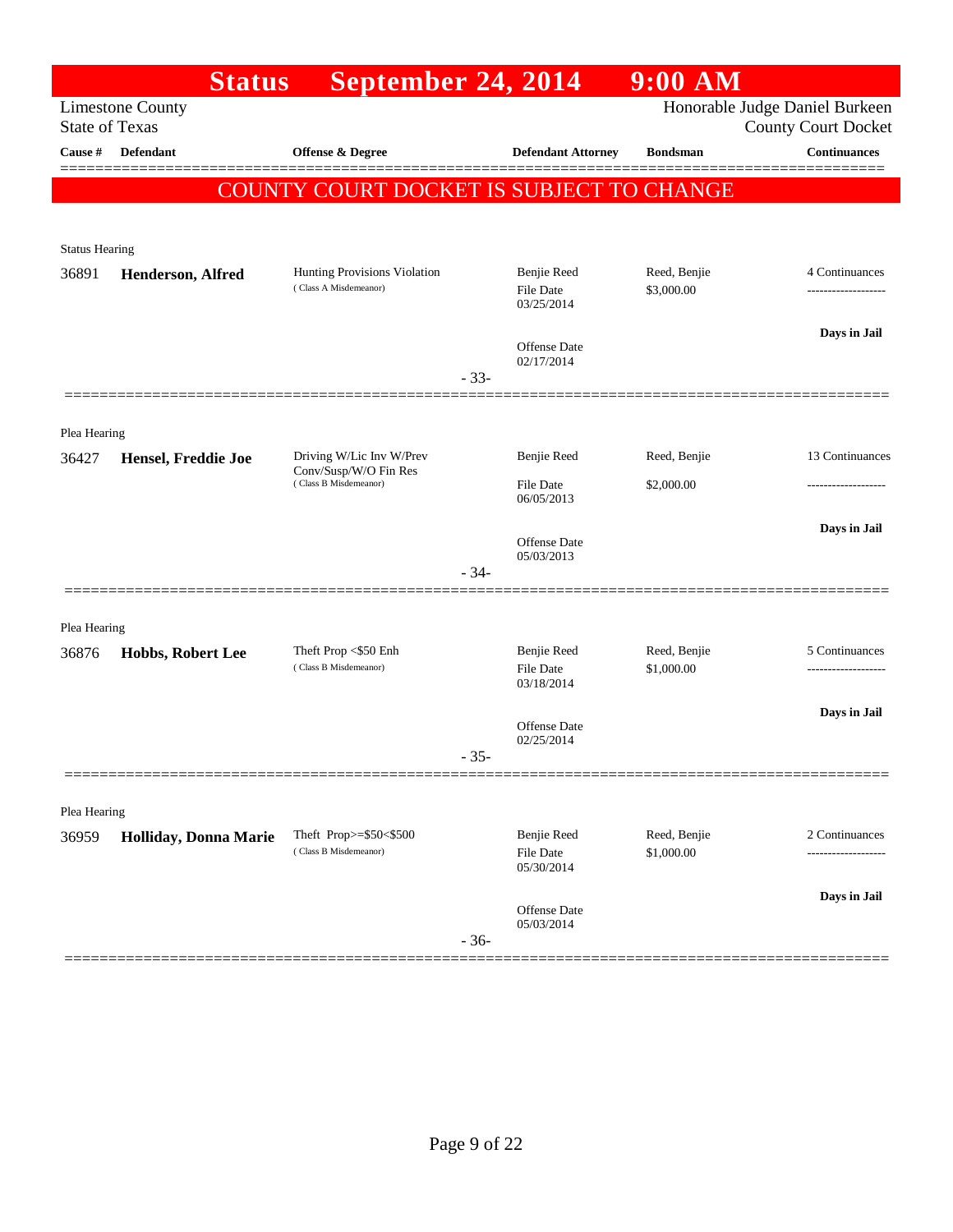|                       | <b>Status</b>           | September 24, 2014                                    |        |                                                      | $9:00$ AM                  |                                                              |
|-----------------------|-------------------------|-------------------------------------------------------|--------|------------------------------------------------------|----------------------------|--------------------------------------------------------------|
| <b>State of Texas</b> | <b>Limestone County</b> |                                                       |        |                                                      |                            | Honorable Judge Daniel Burkeen<br><b>County Court Docket</b> |
| Cause #               | Defendant               | Offense & Degree                                      |        | <b>Defendant Attorney</b>                            | <b>Bondsman</b>            | <b>Continuances</b>                                          |
|                       |                         | COUNTY COURT DOCKET IS SUBJECT TO CHANGE              |        |                                                      |                            |                                                              |
|                       |                         |                                                       |        |                                                      |                            |                                                              |
| <b>Status Hearing</b> |                         |                                                       |        |                                                      |                            |                                                              |
| 36891                 | Henderson, Alfred       | Hunting Provisions Violation<br>(Class A Misdemeanor) |        | <b>Benjie Reed</b><br><b>File Date</b><br>03/25/2014 | Reed, Benjie<br>\$3,000.00 | 4 Continuances<br>------------------                         |
|                       |                         |                                                       | $-33-$ | <b>Offense Date</b><br>02/17/2014                    |                            | Days in Jail                                                 |
| Plea Hearing          |                         |                                                       |        |                                                      |                            |                                                              |
| 36427                 | Hensel, Freddie Joe     | Driving W/Lic Inv W/Prev                              |        | Benjie Reed                                          | Reed, Benjie               | 13 Continuances                                              |
|                       |                         | Conv/Susp/W/O Fin Res<br>(Class B Misdemeanor)        |        | <b>File Date</b><br>06/05/2013                       | \$2,000.00                 |                                                              |
|                       |                         |                                                       |        | Offense Date<br>05/03/2013                           |                            | Days in Jail                                                 |
|                       |                         |                                                       | $-34-$ |                                                      |                            |                                                              |
| Plea Hearing          |                         |                                                       |        |                                                      |                            |                                                              |
| 36876                 | Hobbs, Robert Lee       | Theft Prop <\$50 Enh<br>(Class B Misdemeanor)         |        | Benjie Reed<br><b>File Date</b><br>03/18/2014        | Reed, Benjie<br>\$1,000.00 | 5 Continuances<br>.                                          |
|                       |                         |                                                       | $-35-$ | Offense Date<br>02/25/2014                           |                            | Days in Jail                                                 |
|                       |                         |                                                       |        |                                                      |                            |                                                              |
| Plea Hearing          |                         |                                                       |        |                                                      |                            |                                                              |
| 36959                 | Holliday, Donna Marie   | Theft Prop>=\$50<\$500<br>(Class B Misdemeanor)       |        | Benjie Reed<br><b>File Date</b><br>05/30/2014        | Reed, Benjie<br>\$1,000.00 | 2 Continuances                                               |
|                       |                         |                                                       | $-36-$ | Offense Date<br>05/03/2014                           |                            | Days in Jail                                                 |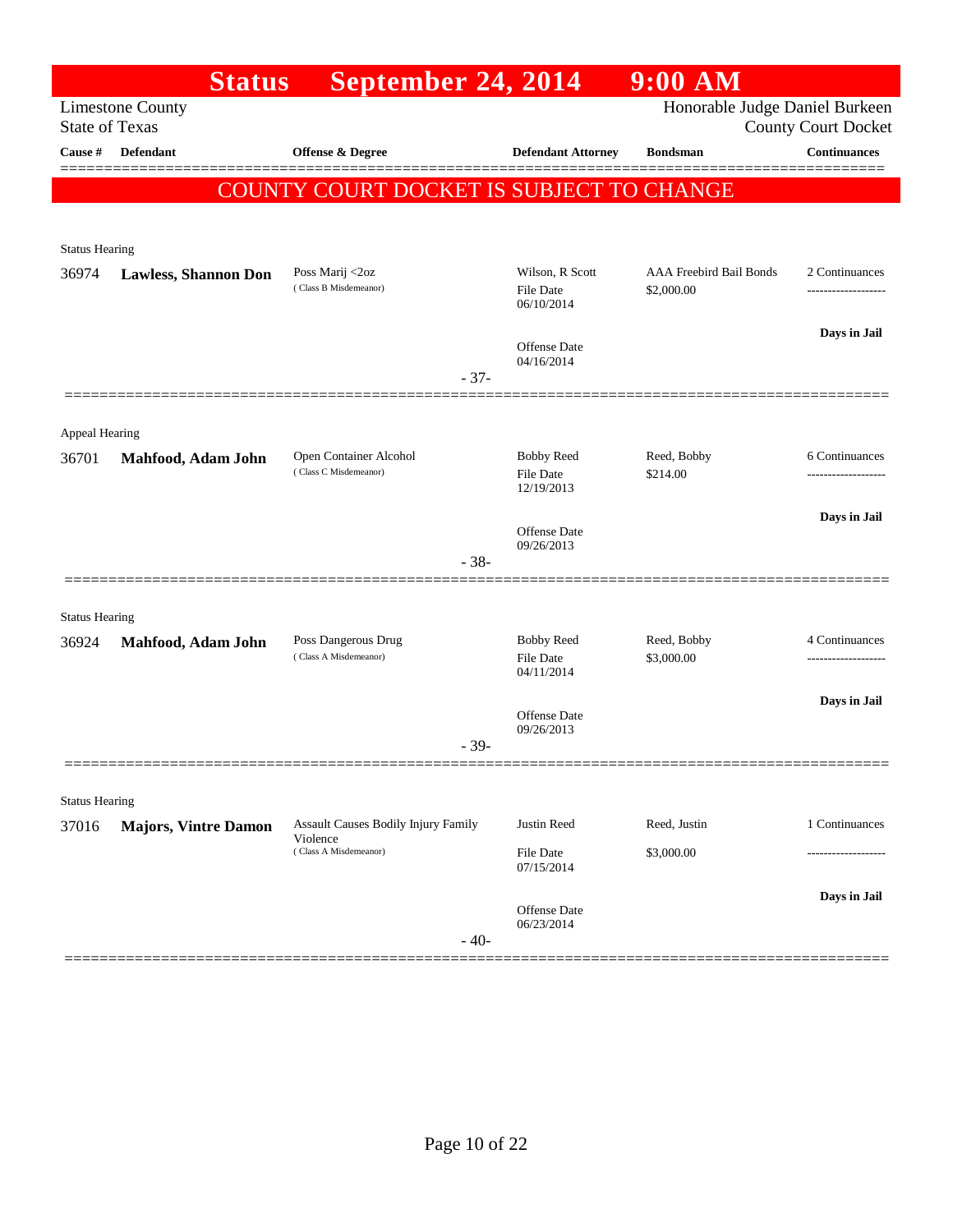|                       | <b>Status</b>               | September 24, 2014                              |                                                     | $9:00$ AM                             |                                       |
|-----------------------|-----------------------------|-------------------------------------------------|-----------------------------------------------------|---------------------------------------|---------------------------------------|
| <b>State of Texas</b> | <b>Limestone County</b>     |                                                 |                                                     | Honorable Judge Daniel Burkeen        | <b>County Court Docket</b>            |
| <b>Cause #</b>        | <b>Defendant</b>            | Offense & Degree                                | <b>Defendant Attorney</b>                           | <b>Bondsman</b>                       | <b>Continuances</b>                   |
|                       |                             | <b>COUNTY COURT DOCKET IS SUBJECT TO CHANGE</b> |                                                     |                                       | =======                               |
|                       |                             |                                                 |                                                     |                                       |                                       |
| <b>Status Hearing</b> |                             |                                                 |                                                     |                                       |                                       |
| 36974                 | <b>Lawless, Shannon Don</b> | Poss Marij <2oz<br>(Class B Misdemeanor)        | Wilson, R Scott<br>File Date<br>06/10/2014          | AAA Freebird Bail Bonds<br>\$2,000.00 | 2 Continuances<br>------------------- |
|                       |                             |                                                 | Offense Date<br>04/16/2014                          |                                       | Days in Jail                          |
|                       |                             | $-37-$                                          |                                                     |                                       |                                       |
| Appeal Hearing        |                             |                                                 |                                                     |                                       |                                       |
| 36701                 | Mahfood, Adam John          | Open Container Alcohol<br>(Class C Misdemeanor) | <b>Bobby Reed</b><br><b>File Date</b><br>12/19/2013 | Reed, Bobby<br>\$214.00               | 6 Continuances<br>------------------- |
|                       |                             |                                                 |                                                     |                                       | Days in Jail                          |
|                       |                             | $-38-$                                          | Offense Date<br>09/26/2013                          |                                       |                                       |
|                       |                             |                                                 |                                                     |                                       |                                       |
| <b>Status Hearing</b> |                             |                                                 |                                                     |                                       |                                       |
| 36924                 | Mahfood, Adam John          | Poss Dangerous Drug<br>(Class A Misdemeanor)    | <b>Bobby Reed</b><br>File Date<br>04/11/2014        | Reed, Bobby<br>\$3,000.00             | 4 Continuances                        |
|                       |                             |                                                 |                                                     |                                       | Days in Jail                          |
|                       |                             |                                                 | Offense Date<br>09/26/2013                          |                                       |                                       |
|                       |                             | $-39-$                                          |                                                     |                                       |                                       |
| <b>Status Hearing</b> |                             |                                                 |                                                     |                                       |                                       |
| 37016                 | <b>Majors, Vintre Damon</b> | <b>Assault Causes Bodily Injury Family</b>      | Justin Reed                                         | Reed, Justin                          | 1 Continuances                        |
|                       |                             | Violence<br>(Class A Misdemeanor)               | File Date<br>07/15/2014                             | \$3,000.00                            |                                       |
|                       |                             | $-40-$                                          | Offense Date<br>06/23/2014                          |                                       | Days in Jail                          |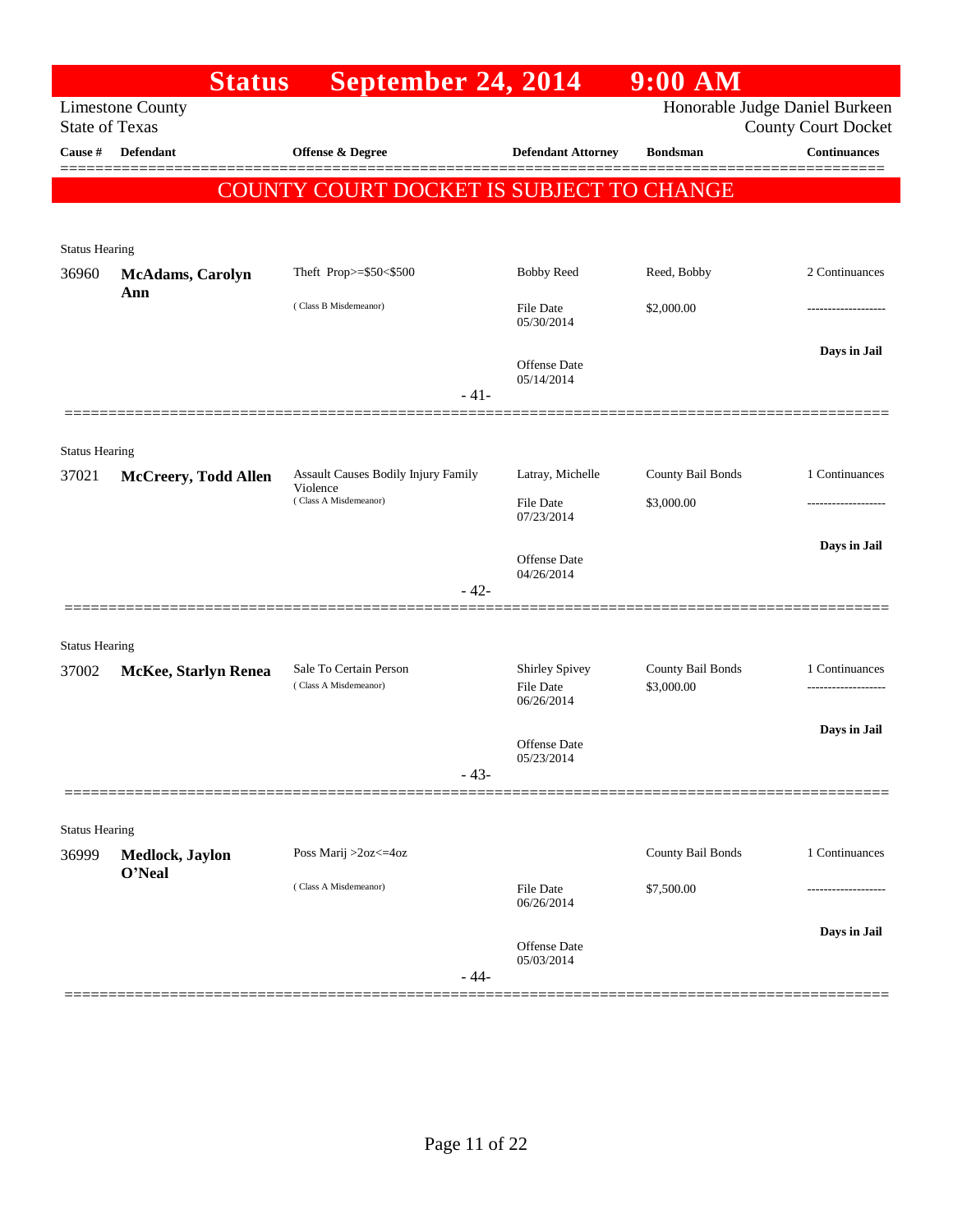|                                | <b>Status</b>               | September 24, 2014                       |                                   | $9:00$ AM                      |                                                   |
|--------------------------------|-----------------------------|------------------------------------------|-----------------------------------|--------------------------------|---------------------------------------------------|
| <b>State of Texas</b>          | <b>Limestone County</b>     |                                          |                                   | Honorable Judge Daniel Burkeen |                                                   |
| Cause #                        | <b>Defendant</b>            | Offense & Degree                         | <b>Defendant Attorney</b>         | <b>Bondsman</b>                | <b>County Court Docket</b><br><b>Continuances</b> |
|                                |                             |                                          |                                   |                                |                                                   |
|                                |                             | COUNTY COURT DOCKET IS SUBJECT TO CHANGE |                                   |                                |                                                   |
|                                |                             |                                          |                                   |                                |                                                   |
| <b>Status Hearing</b><br>36960 | <b>McAdams, Carolyn</b>     | Theft Prop>=\$50<\$500                   | <b>Bobby Reed</b>                 | Reed, Bobby                    | 2 Continuances                                    |
|                                | Ann                         |                                          |                                   |                                |                                                   |
|                                |                             | (Class B Misdemeanor)                    | <b>File Date</b><br>05/30/2014    | \$2,000.00                     | -----------------                                 |
|                                |                             |                                          |                                   |                                | Days in Jail                                      |
|                                |                             |                                          | <b>Offense Date</b><br>05/14/2014 |                                |                                                   |
|                                |                             | $-41-$                                   |                                   |                                |                                                   |
|                                |                             |                                          |                                   |                                |                                                   |
| <b>Status Hearing</b>          |                             | Assault Causes Bodily Injury Family      | Latray, Michelle                  | County Bail Bonds              | 1 Continuances                                    |
| 37021                          | <b>McCreery, Todd Allen</b> | Violence<br>(Class A Misdemeanor)        | File Date                         | \$3,000.00                     | -----------------                                 |
|                                |                             |                                          | 07/23/2014                        |                                |                                                   |
|                                |                             |                                          | Offense Date                      |                                | Days in Jail                                      |
|                                |                             |                                          | 04/26/2014                        |                                |                                                   |
|                                |                             | $-42-$                                   |                                   |                                |                                                   |
| <b>Status Hearing</b>          |                             |                                          |                                   |                                |                                                   |
| 37002                          | <b>McKee, Starlyn Renea</b> | Sale To Certain Person                   | <b>Shirley Spivey</b>             | County Bail Bonds              | 1 Continuances                                    |
|                                |                             | (Class A Misdemeanor)                    | <b>File Date</b><br>06/26/2014    | \$3,000.00                     | -------------------                               |
|                                |                             |                                          |                                   |                                | Days in Jail                                      |
|                                |                             |                                          | Offense Date<br>05/23/2014        |                                |                                                   |
|                                |                             | $-43-$                                   |                                   |                                |                                                   |
|                                |                             |                                          |                                   |                                |                                                   |
| <b>Status Hearing</b>          |                             |                                          |                                   |                                |                                                   |
| 36999                          | Medlock, Jaylon<br>O'Neal   | Poss Marij >2oz<=4oz                     |                                   | County Bail Bonds              | 1 Continuances                                    |
|                                |                             | (Class A Misdemeanor)                    | <b>File Date</b><br>06/26/2014    | \$7,500.00                     |                                                   |
|                                |                             |                                          |                                   |                                | Days in Jail                                      |
|                                |                             |                                          | Offense Date<br>05/03/2014        |                                |                                                   |
|                                |                             | $-44-$                                   |                                   |                                |                                                   |
|                                |                             |                                          |                                   |                                |                                                   |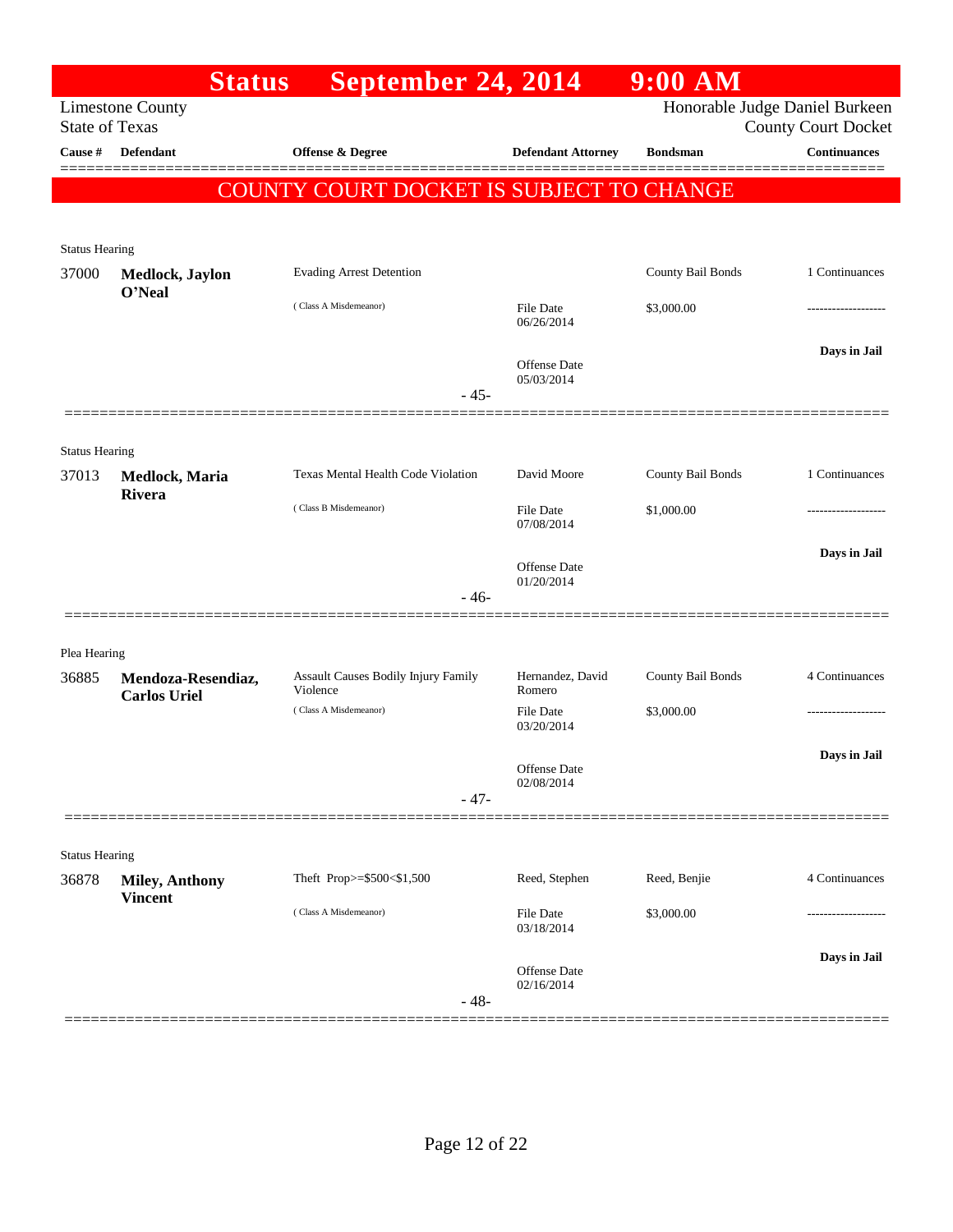|                                | <b>Status</b>           | September 24, 2014                              |                                | $9:00$ AM         |                                                              |
|--------------------------------|-------------------------|-------------------------------------------------|--------------------------------|-------------------|--------------------------------------------------------------|
| <b>State of Texas</b>          | <b>Limestone County</b> |                                                 |                                |                   | Honorable Judge Daniel Burkeen<br><b>County Court Docket</b> |
| Cause #                        | <b>Defendant</b>        | <b>Offense &amp; Degree</b>                     | <b>Defendant Attorney</b>      | <b>Bondsman</b>   | <b>Continuances</b>                                          |
|                                |                         | COUNTY COURT DOCKET IS SUBJECT TO CHANGE        |                                |                   |                                                              |
|                                |                         |                                                 |                                |                   |                                                              |
| <b>Status Hearing</b>          |                         |                                                 |                                |                   |                                                              |
| 37000                          | Medlock, Jaylon         | <b>Evading Arrest Detention</b>                 |                                | County Bail Bonds | 1 Continuances                                               |
|                                | O'Neal                  | (Class A Misdemeanor)                           | <b>File Date</b><br>06/26/2014 | \$3,000.00        | ---------------                                              |
|                                |                         | $-45-$                                          | Offense Date<br>05/03/2014     |                   | Days in Jail                                                 |
|                                |                         |                                                 |                                |                   |                                                              |
| <b>Status Hearing</b>          |                         |                                                 |                                |                   |                                                              |
| 37013                          | Medlock, Maria          | <b>Texas Mental Health Code Violation</b>       | David Moore                    | County Bail Bonds | 1 Continuances                                               |
|                                | Rivera                  | (Class B Misdemeanor)                           | <b>File Date</b><br>07/08/2014 | \$1,000.00        |                                                              |
|                                |                         | $-46-$                                          | Offense Date<br>01/20/2014     |                   | Days in Jail                                                 |
|                                |                         |                                                 |                                |                   |                                                              |
| Plea Hearing                   |                         |                                                 |                                |                   |                                                              |
| 36885                          | Mendoza-Resendiaz,      | Assault Causes Bodily Injury Family<br>Violence | Hernandez, David<br>Romero     | County Bail Bonds | 4 Continuances                                               |
|                                | <b>Carlos Uriel</b>     | (Class A Misdemeanor)                           | <b>File Date</b><br>03/20/2014 | \$3,000.00        |                                                              |
|                                |                         |                                                 | Offense Date<br>02/08/2014     |                   | Days in Jail                                                 |
|                                |                         | $-47-$                                          |                                |                   |                                                              |
|                                |                         |                                                 |                                |                   |                                                              |
| <b>Status Hearing</b><br>36878 | <b>Miley, Anthony</b>   | Theft Prop>=\$500<\$1,500                       | Reed, Stephen                  | Reed, Benjie      | 4 Continuances                                               |
|                                | <b>Vincent</b>          | (Class A Misdemeanor)                           | File Date                      | \$3,000.00        | ------------------                                           |
|                                |                         |                                                 | 03/18/2014                     |                   |                                                              |
|                                |                         | $-48-$                                          | Offense Date<br>02/16/2014     |                   | Days in Jail                                                 |
|                                |                         |                                                 |                                |                   |                                                              |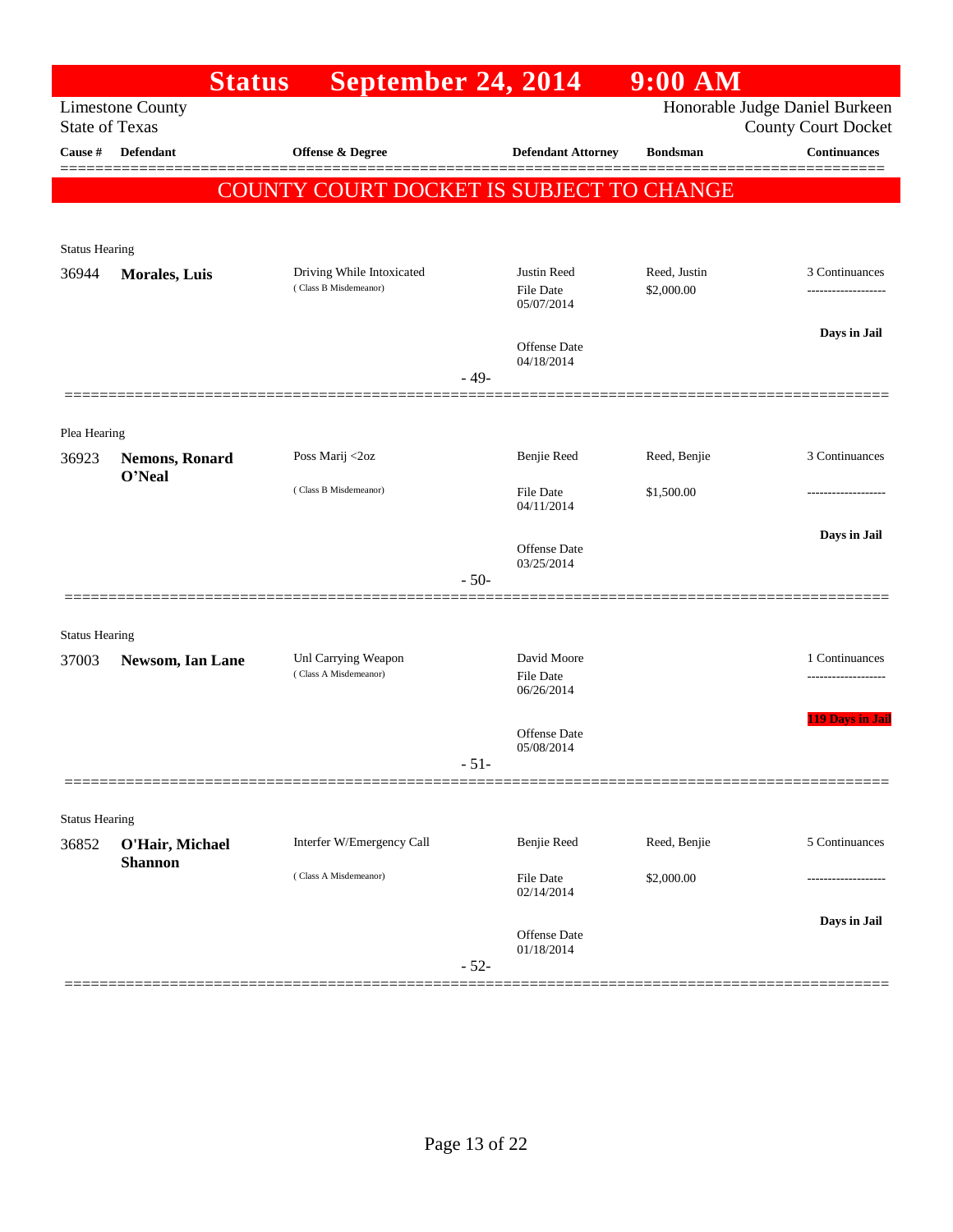|                                | <b>Status</b>           | <b>September 24, 2014</b>                          |        |                                               | $9:00$ AM                  |                                                              |
|--------------------------------|-------------------------|----------------------------------------------------|--------|-----------------------------------------------|----------------------------|--------------------------------------------------------------|
| <b>State of Texas</b>          | <b>Limestone County</b> |                                                    |        |                                               |                            | Honorable Judge Daniel Burkeen<br><b>County Court Docket</b> |
| Cause $\#$                     | <b>Defendant</b>        | <b>Offense &amp; Degree</b>                        |        | <b>Defendant Attorney</b>                     | <b>Bondsman</b>            | <b>Continuances</b>                                          |
|                                |                         | COUNTY COURT DOCKET IS SUBJECT TO CHANGE           |        |                                               |                            |                                                              |
|                                |                         |                                                    |        |                                               |                            |                                                              |
| <b>Status Hearing</b>          |                         |                                                    |        |                                               |                            |                                                              |
| 36944                          | <b>Morales, Luis</b>    | Driving While Intoxicated<br>(Class B Misdemeanor) |        | Justin Reed<br><b>File Date</b><br>05/07/2014 | Reed, Justin<br>\$2,000.00 | 3 Continuances<br>-------------------                        |
|                                |                         |                                                    |        |                                               |                            | Days in Jail                                                 |
|                                |                         |                                                    | - 49-  | <b>Offense</b> Date<br>04/18/2014             |                            |                                                              |
|                                |                         |                                                    |        |                                               |                            |                                                              |
| Plea Hearing<br>36923          | <b>Nemons, Ronard</b>   | Poss Marij <2oz                                    |        | Benjie Reed                                   | Reed, Benjie               | 3 Continuances                                               |
|                                | O'Neal                  | (Class B Misdemeanor)                              |        | <b>File Date</b><br>04/11/2014                | \$1,500.00                 |                                                              |
|                                |                         |                                                    |        | Offense Date                                  |                            | Days in Jail                                                 |
|                                |                         |                                                    | $-50-$ | 03/25/2014                                    |                            |                                                              |
|                                |                         |                                                    |        |                                               |                            |                                                              |
| <b>Status Hearing</b><br>37003 | Newsom, Ian Lane        | Unl Carrying Weapon                                |        | David Moore                                   |                            | 1 Continuances                                               |
|                                |                         | (Class A Misdemeanor)                              |        | <b>File Date</b><br>06/26/2014                |                            |                                                              |
|                                |                         |                                                    |        | Offense Date                                  |                            | <b>119 Days in Jail</b>                                      |
|                                |                         |                                                    | $-51-$ | 05/08/2014                                    |                            |                                                              |
|                                |                         |                                                    |        |                                               |                            |                                                              |
| <b>Status Hearing</b><br>36852 | O'Hair, Michael         | Interfer W/Emergency Call                          |        | Benjie Reed                                   | Reed, Benjie               | 5 Continuances                                               |
|                                | <b>Shannon</b>          | (Class A Misdemeanor)                              |        | File Date<br>02/14/2014                       | \$2,000.00                 | -----------------                                            |
|                                |                         |                                                    |        |                                               |                            | Days in Jail                                                 |
|                                |                         |                                                    | $-52-$ | Offense Date<br>01/18/2014                    |                            |                                                              |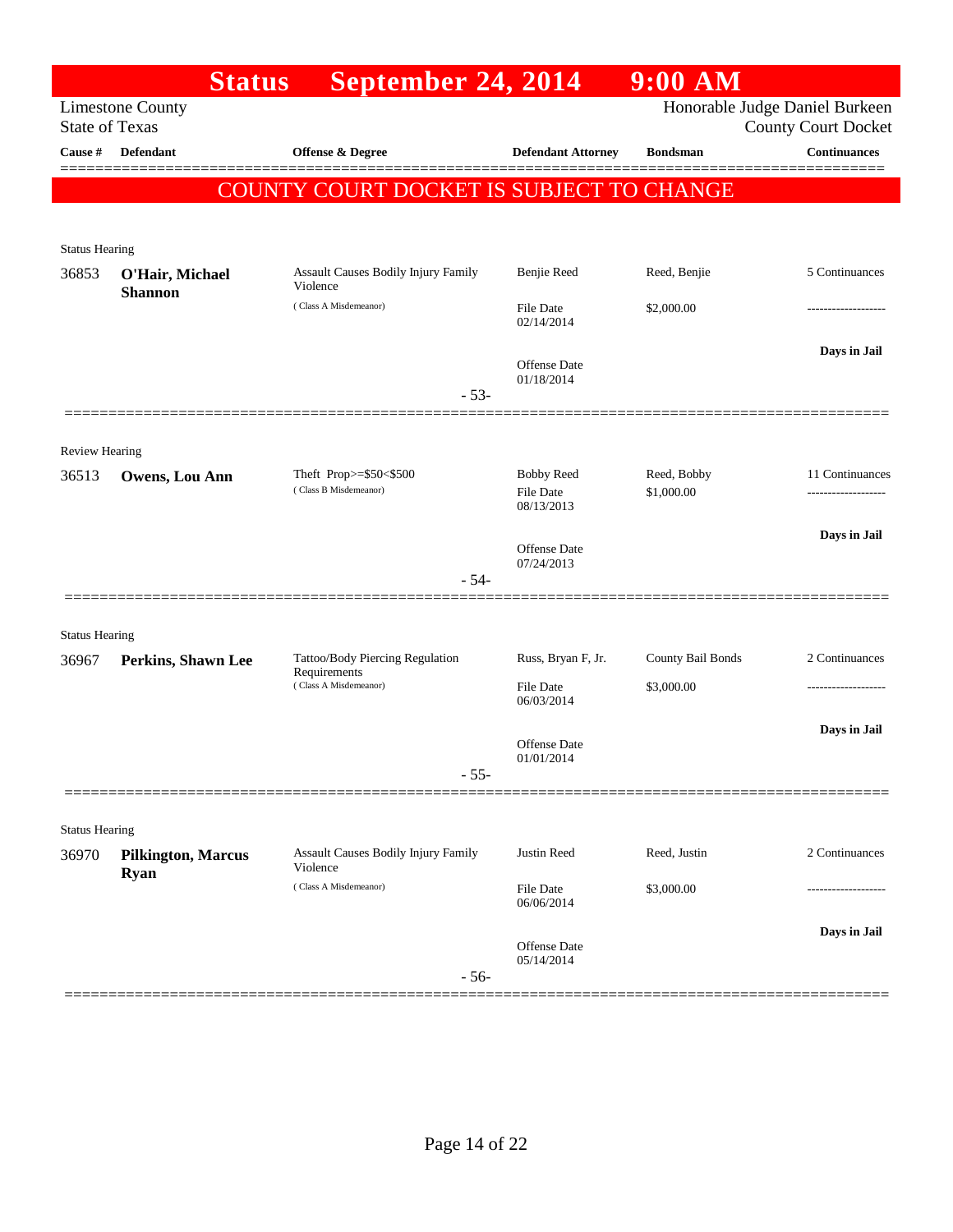|                                | <b>Status</b>                            | September 24, 2014                              |                                   | $9:00$ AM         |                                                   |
|--------------------------------|------------------------------------------|-------------------------------------------------|-----------------------------------|-------------------|---------------------------------------------------|
| <b>State of Texas</b>          | <b>Limestone County</b>                  |                                                 |                                   |                   | Honorable Judge Daniel Burkeen                    |
| Cause #                        | <b>Defendant</b>                         | Offense & Degree                                | <b>Defendant Attorney</b>         | <b>Bondsman</b>   | <b>County Court Docket</b><br><b>Continuances</b> |
|                                |                                          |                                                 |                                   |                   |                                                   |
|                                |                                          | <b>COUNTY COURT DOCKET IS SUBJECT TO CHANGE</b> |                                   |                   |                                                   |
|                                |                                          |                                                 |                                   |                   |                                                   |
| <b>Status Hearing</b>          |                                          |                                                 |                                   |                   |                                                   |
| 36853                          | O'Hair, Michael<br><b>Shannon</b>        | Assault Causes Bodily Injury Family<br>Violence | Benjie Reed                       | Reed, Benjie      | 5 Continuances                                    |
|                                |                                          | (Class A Misdemeanor)                           | <b>File Date</b><br>02/14/2014    | \$2,000.00        | -------------------                               |
|                                |                                          |                                                 |                                   |                   | Days in Jail                                      |
|                                |                                          |                                                 | <b>Offense</b> Date<br>01/18/2014 |                   |                                                   |
|                                |                                          | $-53-$                                          |                                   |                   |                                                   |
|                                |                                          |                                                 |                                   |                   |                                                   |
| <b>Review Hearing</b>          |                                          |                                                 |                                   |                   |                                                   |
| 36513                          | <b>Owens, Lou Ann</b>                    | Theft Prop>=\$50<\$500<br>(Class B Misdemeanor) | <b>Bobby Reed</b>                 | Reed, Bobby       | 11 Continuances                                   |
|                                |                                          |                                                 | <b>File Date</b><br>08/13/2013    | \$1,000.00        |                                                   |
|                                |                                          |                                                 |                                   |                   | Days in Jail                                      |
|                                |                                          |                                                 | <b>Offense</b> Date<br>07/24/2013 |                   |                                                   |
|                                |                                          | $-54-$                                          |                                   |                   |                                                   |
|                                |                                          |                                                 |                                   |                   |                                                   |
| <b>Status Hearing</b>          |                                          | Tattoo/Body Piercing Regulation                 | Russ, Bryan F, Jr.                | County Bail Bonds | 2 Continuances                                    |
| 36967                          | Perkins, Shawn Lee                       | Requirements<br>(Class A Misdemeanor)           | File Date                         | \$3,000.00        |                                                   |
|                                |                                          |                                                 | 06/03/2014                        |                   |                                                   |
|                                |                                          |                                                 |                                   |                   | Days in Jail                                      |
|                                |                                          |                                                 | Offense Date<br>01/01/2014        |                   |                                                   |
|                                |                                          | $-55-$                                          |                                   |                   |                                                   |
|                                |                                          |                                                 |                                   |                   |                                                   |
| <b>Status Hearing</b><br>36970 |                                          | Assault Causes Bodily Injury Family             | Justin Reed                       | Reed, Justin      | 2 Continuances                                    |
|                                | <b>Pilkington, Marcus</b><br><b>Ryan</b> | Violence                                        |                                   |                   |                                                   |
|                                |                                          | (Class A Misdemeanor)                           | File Date<br>06/06/2014           | \$3,000.00        |                                                   |
|                                |                                          |                                                 |                                   |                   | Days in Jail                                      |
|                                |                                          |                                                 | Offense Date<br>05/14/2014        |                   |                                                   |
|                                |                                          | $-56-$                                          |                                   |                   |                                                   |
|                                |                                          |                                                 |                                   |                   |                                                   |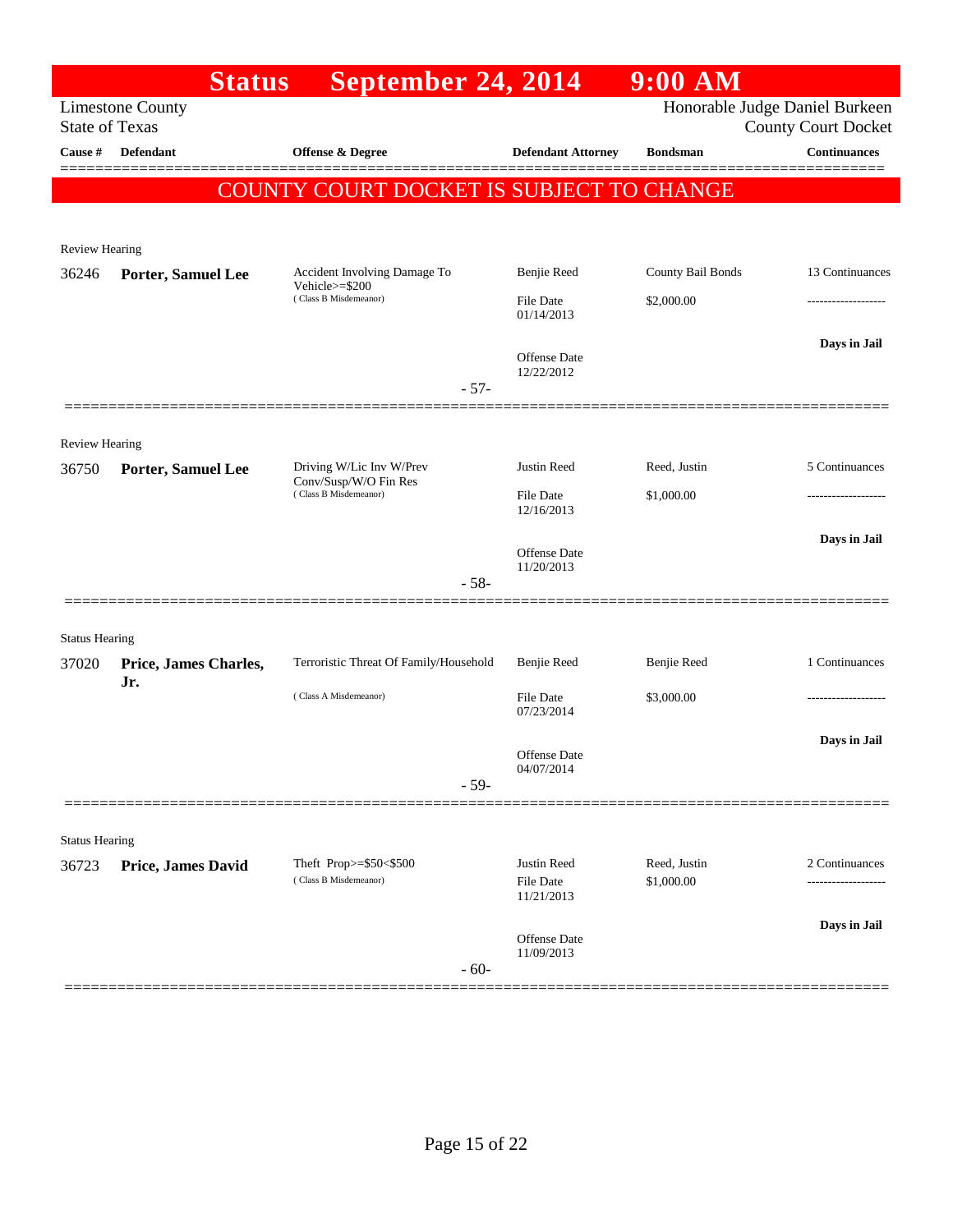|                       | <b>Status</b>             | September 24, 2014                              |                                | $9:00$ AM         |                                                              |
|-----------------------|---------------------------|-------------------------------------------------|--------------------------------|-------------------|--------------------------------------------------------------|
| <b>State of Texas</b> | <b>Limestone County</b>   |                                                 |                                |                   | Honorable Judge Daniel Burkeen<br><b>County Court Docket</b> |
| Cause #               | Defendant                 | <b>Offense &amp; Degree</b>                     | <b>Defendant Attorney</b>      | <b>Bondsman</b>   | <b>Continuances</b>                                          |
|                       |                           |                                                 |                                |                   |                                                              |
|                       |                           | <b>COUNTY COURT DOCKET IS SUBJECT TO CHANGE</b> |                                |                   |                                                              |
|                       |                           |                                                 |                                |                   |                                                              |
| <b>Review Hearing</b> |                           |                                                 |                                |                   |                                                              |
| 36246                 | Porter, Samuel Lee        | Accident Involving Damage To<br>Vehicle>=\$200  | Benjie Reed                    | County Bail Bonds | 13 Continuances                                              |
|                       |                           | (Class B Misdemeanor)                           | File Date<br>01/14/2013        | \$2,000.00        | ---------------                                              |
|                       |                           |                                                 | Offense Date                   |                   | Days in Jail                                                 |
|                       |                           | $-57-$                                          | 12/22/2012                     |                   |                                                              |
|                       |                           |                                                 |                                |                   |                                                              |
| <b>Review Hearing</b> |                           |                                                 |                                |                   |                                                              |
| 36750                 | Porter, Samuel Lee        | Driving W/Lic Inv W/Prev                        | Justin Reed                    | Reed, Justin      | 5 Continuances                                               |
|                       |                           | Conv/Susp/W/O Fin Res<br>(Class B Misdemeanor)  | <b>File Date</b><br>12/16/2013 | \$1,000.00        |                                                              |
|                       |                           |                                                 | Offense Date                   |                   | Days in Jail                                                 |
|                       |                           |                                                 | 11/20/2013                     |                   |                                                              |
|                       |                           | $-58-$                                          |                                |                   |                                                              |
| <b>Status Hearing</b> |                           |                                                 |                                |                   |                                                              |
| 37020                 | Price, James Charles,     | Terroristic Threat Of Family/Household          | Benjie Reed                    | Benjie Reed       | 1 Continuances                                               |
|                       | Jr.                       | (Class A Misdemeanor)                           | File Date                      | \$3,000.00        |                                                              |
|                       |                           |                                                 | 07/23/2014                     |                   |                                                              |
|                       |                           |                                                 | Offense Date                   |                   | Days in Jail                                                 |
|                       |                           | $-59-$                                          | 04/07/2014                     |                   |                                                              |
|                       |                           |                                                 |                                |                   |                                                              |
| <b>Status Hearing</b> |                           |                                                 |                                |                   |                                                              |
| 36723                 | <b>Price, James David</b> | Theft Prop>=\$50<\$500                          | Justin Reed                    | Reed, Justin      | 2 Continuances                                               |
|                       |                           | (Class B Misdemeanor)                           | File Date<br>11/21/2013        | \$1,000.00        |                                                              |
|                       |                           |                                                 |                                |                   | Days in Jail                                                 |
|                       |                           |                                                 | Offense Date<br>11/09/2013     |                   |                                                              |
|                       |                           | $-60-$                                          |                                |                   |                                                              |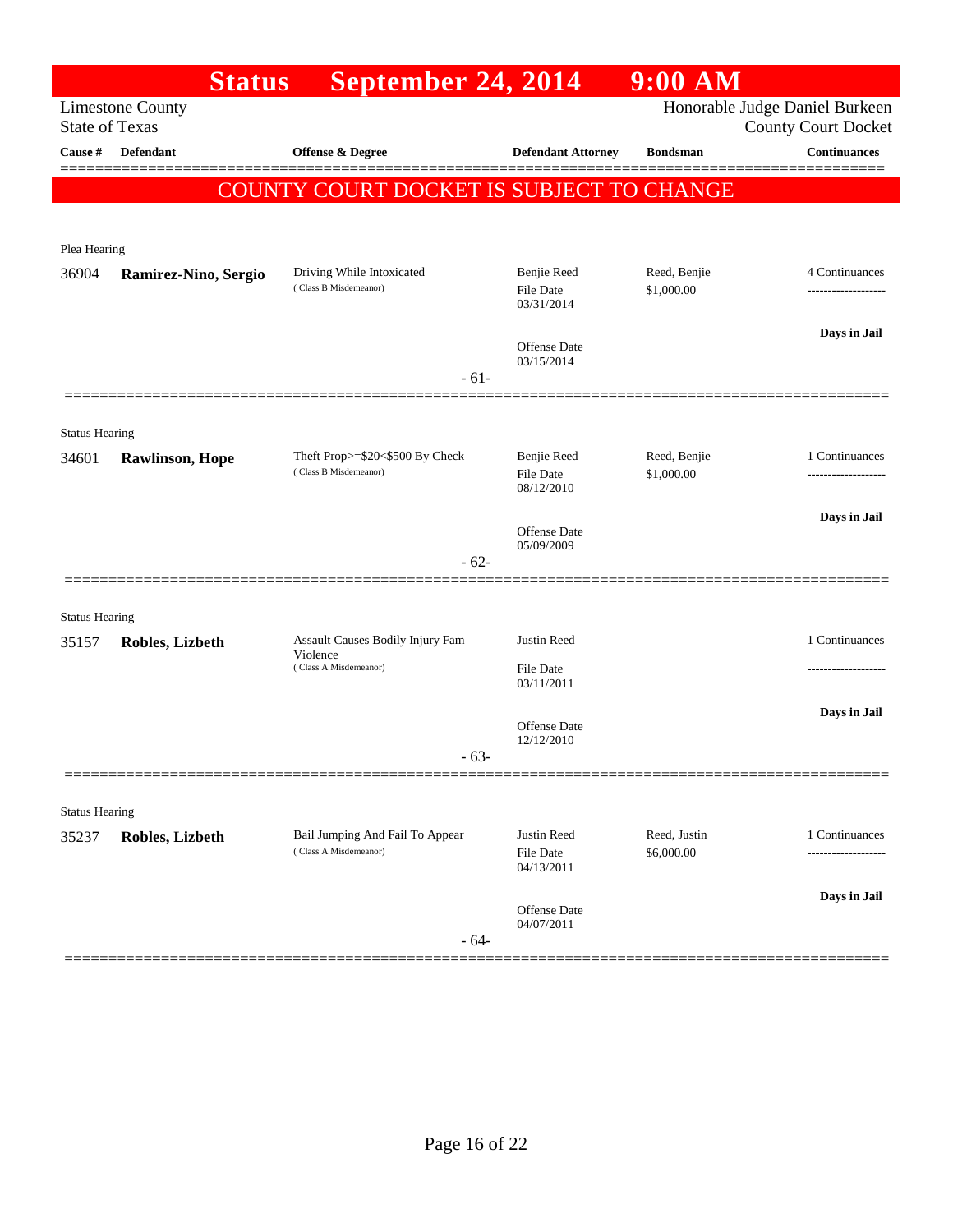|                                | <b>Status</b>           | September 24, 2014                                       |                                               | $9:00$ AM                  |                                                              |
|--------------------------------|-------------------------|----------------------------------------------------------|-----------------------------------------------|----------------------------|--------------------------------------------------------------|
| <b>State of Texas</b>          | <b>Limestone County</b> |                                                          |                                               |                            | Honorable Judge Daniel Burkeen<br><b>County Court Docket</b> |
| Cause #                        | <b>Defendant</b>        | Offense & Degree                                         | <b>Defendant Attorney</b>                     | <b>Bondsman</b>            | <b>Continuances</b>                                          |
|                                |                         | <b>COUNTY COURT DOCKET IS SUBJECT TO CHANGE</b>          |                                               |                            | =======                                                      |
|                                |                         |                                                          |                                               |                            |                                                              |
| Plea Hearing                   |                         |                                                          |                                               |                            |                                                              |
| 36904                          | Ramirez-Nino, Sergio    | Driving While Intoxicated<br>(Class B Misdemeanor)       | Benjie Reed<br>File Date<br>03/31/2014        | Reed, Benjie<br>\$1,000.00 | 4 Continuances                                               |
|                                |                         |                                                          | Offense Date<br>03/15/2014                    |                            | Days in Jail                                                 |
|                                |                         | $-61-$                                                   |                                               |                            |                                                              |
| <b>Status Hearing</b>          |                         |                                                          |                                               |                            |                                                              |
| 34601                          | <b>Rawlinson</b> , Hope | Theft Prop>=\$20<\$500 By Check<br>(Class B Misdemeanor) | Benjie Reed<br><b>File Date</b><br>08/12/2010 | Reed, Benjie<br>\$1,000.00 | 1 Continuances                                               |
|                                |                         |                                                          | Offense Date<br>05/09/2009                    |                            | Days in Jail                                                 |
|                                |                         | $-62-$                                                   |                                               |                            |                                                              |
| <b>Status Hearing</b>          |                         |                                                          |                                               |                            |                                                              |
| 35157                          | Robles, Lizbeth         | Assault Causes Bodily Injury Fam<br>Violence             | Justin Reed                                   |                            | 1 Continuances                                               |
|                                |                         | (Class A Misdemeanor)                                    | File Date<br>03/11/2011                       |                            |                                                              |
|                                |                         |                                                          | Offense Date<br>12/12/2010                    |                            | Days in Jail                                                 |
|                                |                         | $-63-$                                                   |                                               |                            |                                                              |
|                                |                         |                                                          |                                               |                            |                                                              |
| <b>Status Hearing</b><br>35237 | Robles, Lizbeth         | Bail Jumping And Fail To Appear<br>(Class A Misdemeanor) | Justin Reed<br>File Date<br>04/13/2011        | Reed, Justin<br>\$6,000.00 | 1 Continuances                                               |
|                                |                         | $-64-$                                                   | Offense Date<br>04/07/2011                    |                            | Days in Jail                                                 |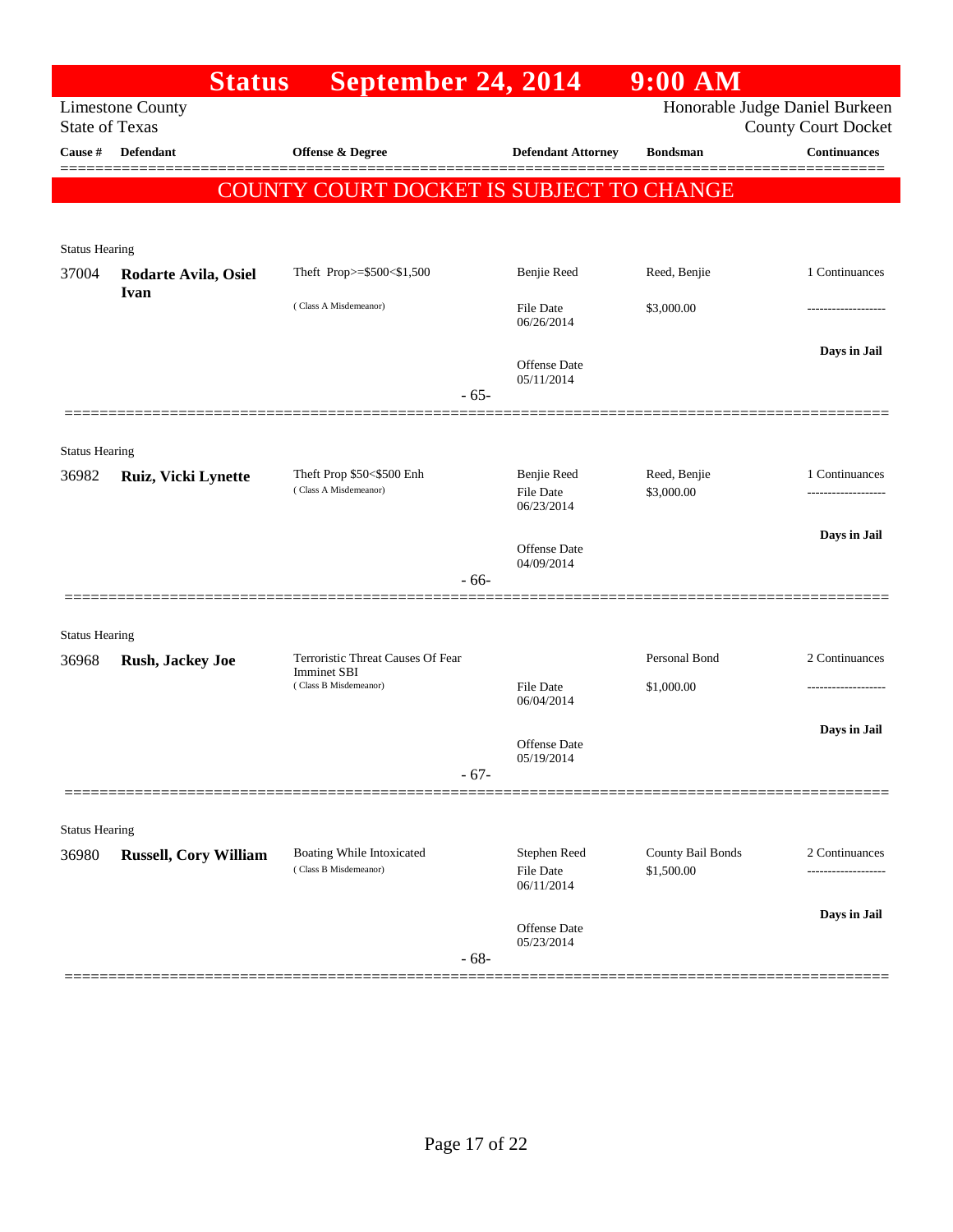|                       | <b>Status</b>                | September 24, 2014                                      |                                         | $9:00$ AM                       |                                                              |
|-----------------------|------------------------------|---------------------------------------------------------|-----------------------------------------|---------------------------------|--------------------------------------------------------------|
| <b>State of Texas</b> | <b>Limestone County</b>      |                                                         |                                         |                                 | Honorable Judge Daniel Burkeen<br><b>County Court Docket</b> |
| Cause $\#$            | <b>Defendant</b>             | <b>Offense &amp; Degree</b>                             | <b>Defendant Attorney</b>               | <b>Bondsman</b>                 | <b>Continuances</b>                                          |
|                       |                              | COUNTY COURT DOCKET IS SUBJECT TO CHANGE                |                                         |                                 |                                                              |
|                       |                              |                                                         |                                         |                                 |                                                              |
| <b>Status Hearing</b> |                              |                                                         |                                         |                                 |                                                              |
| 37004                 | Rodarte Avila, Osiel<br>Ivan | Theft Prop>=\$500<\$1,500                               | Benjie Reed                             | Reed, Benjie                    | 1 Continuances                                               |
|                       |                              | (Class A Misdemeanor)                                   | File Date<br>06/26/2014                 | \$3,000.00                      | .                                                            |
|                       |                              |                                                         | Offense Date<br>05/11/2014              |                                 | Days in Jail                                                 |
|                       |                              | $-65-$                                                  |                                         |                                 |                                                              |
| <b>Status Hearing</b> |                              |                                                         |                                         |                                 |                                                              |
| 36982                 | Ruiz, Vicki Lynette          | Theft Prop \$50<\$500 Enh<br>(Class A Misdemeanor)      | Benjie Reed<br><b>File Date</b>         | Reed, Benjie<br>\$3,000.00      | 1 Continuances                                               |
|                       |                              |                                                         | 06/23/2014<br>Offense Date              |                                 | Days in Jail                                                 |
|                       |                              | $-66-$                                                  | 04/09/2014                              |                                 |                                                              |
|                       |                              |                                                         |                                         |                                 |                                                              |
| <b>Status Hearing</b> |                              |                                                         |                                         |                                 |                                                              |
| 36968                 | Rush, Jackey Joe             | Terroristic Threat Causes Of Fear<br><b>Imminet SBI</b> |                                         | Personal Bond                   | 2 Continuances                                               |
|                       |                              | (Class B Misdemeanor)                                   | <b>File Date</b><br>06/04/2014          | \$1,000.00                      |                                                              |
|                       |                              |                                                         | Offense Date                            |                                 | Days in Jail                                                 |
|                       |                              | $-67-$                                                  | 05/19/2014                              |                                 |                                                              |
|                       |                              |                                                         |                                         |                                 |                                                              |
| <b>Status Hearing</b> |                              |                                                         |                                         |                                 |                                                              |
| 36980                 | Russell, Cory William        | Boating While Intoxicated<br>(Class B Misdemeanor)      | Stephen Reed<br>File Date<br>06/11/2014 | County Bail Bonds<br>\$1,500.00 | 2 Continuances                                               |
|                       |                              | $-68-$                                                  | Offense Date<br>05/23/2014              |                                 | Days in Jail                                                 |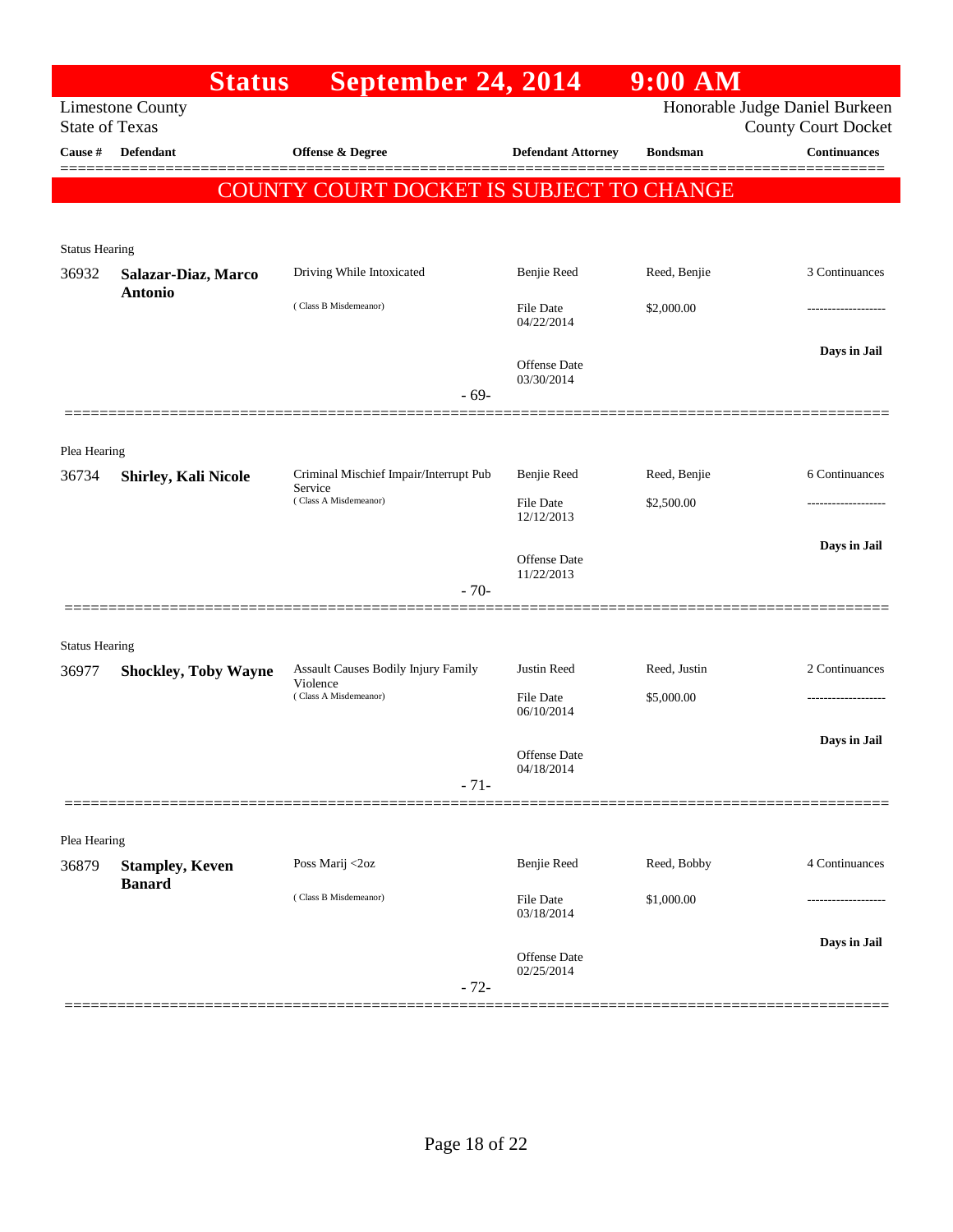|                       | <b>Status</b>                         | September 24, 2014                                |                                   | 9:00 AM         |                                                              |
|-----------------------|---------------------------------------|---------------------------------------------------|-----------------------------------|-----------------|--------------------------------------------------------------|
| <b>State of Texas</b> | <b>Limestone County</b>               |                                                   |                                   |                 | Honorable Judge Daniel Burkeen<br><b>County Court Docket</b> |
| Cause #               | Defendant                             | Offense & Degree                                  | <b>Defendant Attorney</b>         | <b>Bondsman</b> | <b>Continuances</b>                                          |
|                       |                                       | <b>COUNTY COURT DOCKET IS SUBJECT TO CHANGE</b>   |                                   |                 |                                                              |
| <b>Status Hearing</b> |                                       |                                                   |                                   |                 |                                                              |
| 36932                 | Salazar-Diaz, Marco<br><b>Antonio</b> | Driving While Intoxicated                         | Benjie Reed                       | Reed, Benjie    | 3 Continuances                                               |
|                       |                                       | (Class B Misdemeanor)                             | <b>File Date</b><br>04/22/2014    | \$2,000.00      | -------------------                                          |
|                       |                                       |                                                   | <b>Offense</b> Date<br>03/30/2014 |                 | Days in Jail                                                 |
|                       |                                       | $-69-$                                            |                                   |                 |                                                              |
| Plea Hearing          |                                       |                                                   |                                   |                 |                                                              |
| 36734                 | <b>Shirley, Kali Nicole</b>           | Criminal Mischief Impair/Interrupt Pub<br>Service | Benjie Reed                       | Reed, Benjie    | 6 Continuances                                               |
|                       |                                       | (Class A Misdemeanor)                             | File Date<br>12/12/2013           | \$2,500.00      |                                                              |
|                       |                                       |                                                   | Offense Date<br>11/22/2013        |                 | Days in Jail                                                 |
|                       |                                       | $-70-$                                            |                                   |                 |                                                              |
| <b>Status Hearing</b> |                                       |                                                   |                                   |                 |                                                              |
| 36977                 | <b>Shockley, Toby Wayne</b>           | Assault Causes Bodily Injury Family<br>Violence   | Justin Reed                       | Reed, Justin    | 2 Continuances                                               |
|                       |                                       | (Class A Misdemeanor)                             | <b>File Date</b><br>06/10/2014    | \$5,000.00      | .                                                            |
|                       |                                       |                                                   | <b>Offense</b> Date<br>04/18/2014 |                 | Days in Jail                                                 |
|                       |                                       | $-71-$                                            |                                   |                 |                                                              |
| Plea Hearing          |                                       |                                                   |                                   |                 |                                                              |
| 36879                 | <b>Stampley, Keven</b>                | Poss Marij <2oz                                   | Benjie Reed                       | Reed, Bobby     | 4 Continuances                                               |
|                       | <b>Banard</b>                         | (Class B Misdemeanor)                             | File Date<br>03/18/2014           | \$1,000.00      |                                                              |
|                       |                                       | $-72-$                                            | <b>Offense</b> Date<br>02/25/2014 |                 | Days in Jail                                                 |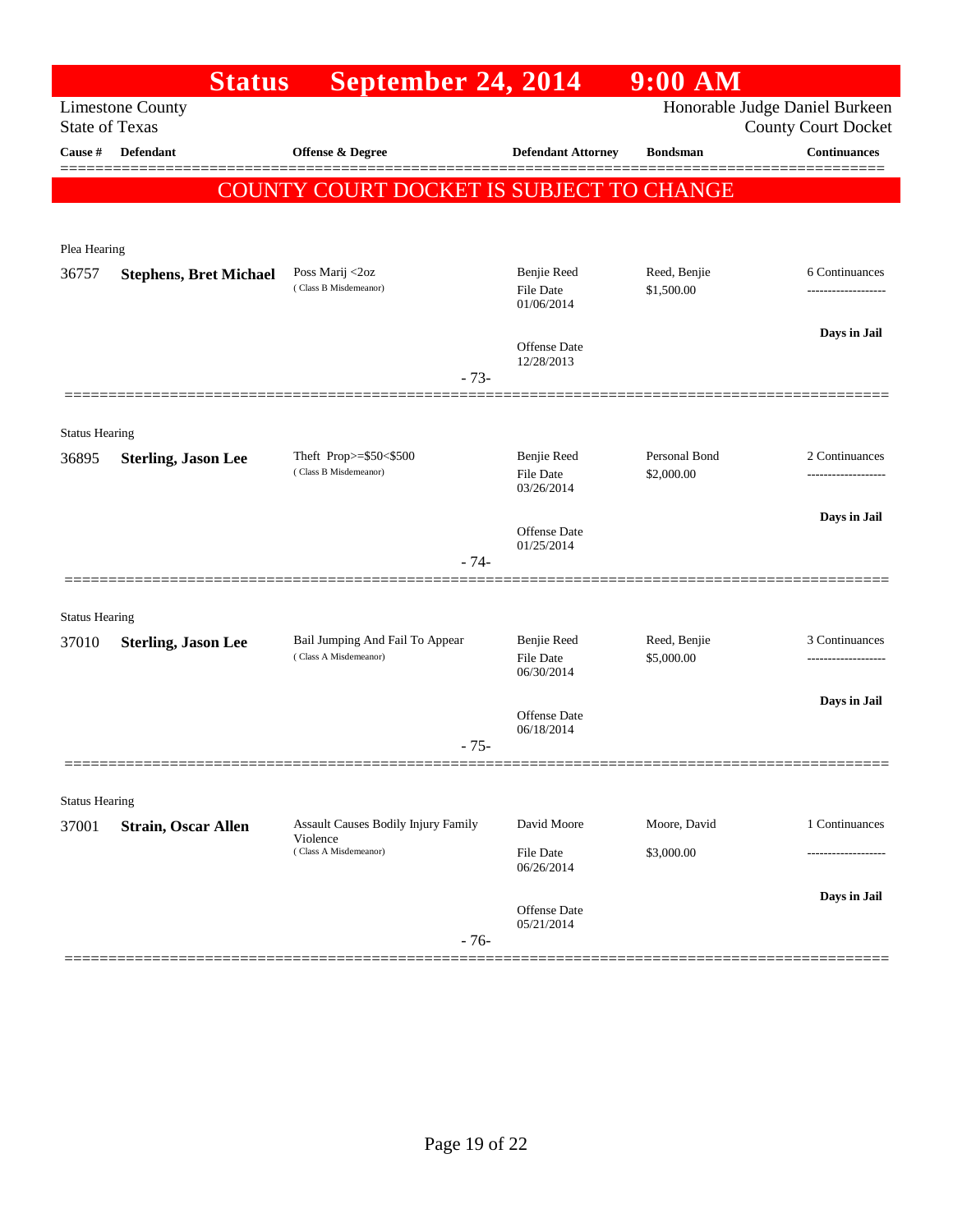|                       | <b>Status</b>                                    | September 24, 2014                                                       |                                               | $9:00$ AM                   |                                                              |
|-----------------------|--------------------------------------------------|--------------------------------------------------------------------------|-----------------------------------------------|-----------------------------|--------------------------------------------------------------|
|                       | <b>Limestone County</b><br><b>State of Texas</b> |                                                                          |                                               |                             | Honorable Judge Daniel Burkeen<br><b>County Court Docket</b> |
| Cause #               | <b>Defendant</b>                                 | Offense & Degree                                                         | <b>Defendant Attorney</b>                     | <b>Bondsman</b>             | <b>Continuances</b>                                          |
|                       |                                                  | <b>COUNTY COURT DOCKET IS SUBJECT TO CHANGE</b>                          |                                               |                             |                                                              |
| Plea Hearing          |                                                  |                                                                          |                                               |                             |                                                              |
| 36757                 | <b>Stephens, Bret Michael</b>                    | Poss Marij <2oz<br>(Class B Misdemeanor)                                 | Benjie Reed<br><b>File Date</b><br>01/06/2014 | Reed, Benjie<br>\$1,500.00  | 6 Continuances                                               |
|                       |                                                  | $-73-$                                                                   | Offense Date<br>12/28/2013                    |                             | Days in Jail                                                 |
| <b>Status Hearing</b> |                                                  |                                                                          |                                               |                             |                                                              |
| 36895                 | <b>Sterling, Jason Lee</b>                       | Theft Prop>=\$50<\$500<br>(Class B Misdemeanor)                          | Benjie Reed<br><b>File Date</b><br>03/26/2014 | Personal Bond<br>\$2,000.00 | 2 Continuances<br>-------------------                        |
|                       |                                                  | $-74-$                                                                   | Offense Date<br>01/25/2014                    |                             | Days in Jail                                                 |
| <b>Status Hearing</b> |                                                  |                                                                          |                                               |                             |                                                              |
| 37010                 | <b>Sterling, Jason Lee</b>                       | Bail Jumping And Fail To Appear<br>(Class A Misdemeanor)                 | Benjie Reed<br><b>File Date</b><br>06/30/2014 | Reed, Benjie<br>\$5,000.00  | 3 Continuances<br>----------------                           |
|                       |                                                  | $-75-$                                                                   | Offense Date<br>06/18/2014                    |                             | Days in Jail                                                 |
|                       |                                                  |                                                                          |                                               |                             |                                                              |
| <b>Status Hearing</b> |                                                  |                                                                          |                                               |                             |                                                              |
| 37001                 | <b>Strain, Oscar Allen</b>                       | Assault Causes Bodily Injury Family<br>Violence<br>(Class A Misdemeanor) | David Moore<br>File Date<br>06/26/2014        | Moore, David<br>\$3,000.00  | 1 Continuances                                               |
|                       |                                                  | $-76-$                                                                   | Offense Date<br>05/21/2014                    |                             | Days in Jail                                                 |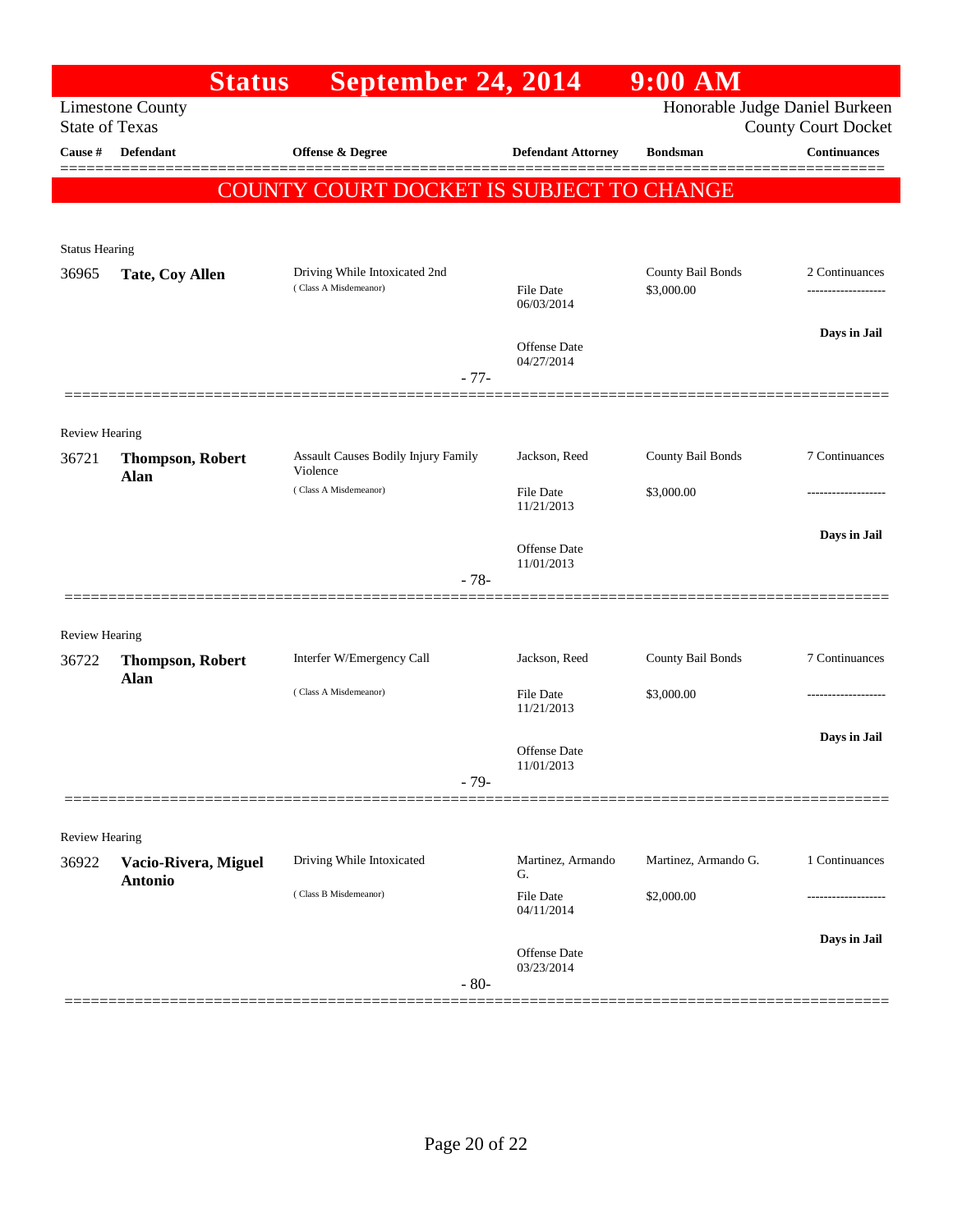|                                | <b>Status</b>                   | September 24, 2014                                     |                                   | $9:00$ AM                       |                                  |
|--------------------------------|---------------------------------|--------------------------------------------------------|-----------------------------------|---------------------------------|----------------------------------|
| <b>State of Texas</b>          | <b>Limestone County</b>         |                                                        |                                   | Honorable Judge Daniel Burkeen  | <b>County Court Docket</b>       |
| Cause #                        | Defendant                       | <b>Offense &amp; Degree</b>                            | <b>Defendant Attorney</b>         | <b>Bondsman</b>                 | <b>Continuances</b>              |
|                                |                                 | COUNTY COURT DOCKET IS SUBJECT TO CHANGE               |                                   |                                 |                                  |
|                                |                                 |                                                        |                                   |                                 |                                  |
| <b>Status Hearing</b>          |                                 |                                                        |                                   |                                 |                                  |
| 36965                          | Tate, Coy Allen                 | Driving While Intoxicated 2nd<br>(Class A Misdemeanor) | File Date<br>06/03/2014           | County Bail Bonds<br>\$3,000.00 | 2 Continuances<br>-------------- |
|                                |                                 |                                                        |                                   |                                 | Days in Jail                     |
|                                |                                 |                                                        | Offense Date<br>04/27/2014        |                                 |                                  |
|                                |                                 | $-77-$                                                 |                                   |                                 |                                  |
|                                |                                 |                                                        |                                   |                                 |                                  |
| <b>Review Hearing</b><br>36721 | <b>Thompson, Robert</b><br>Alan | Assault Causes Bodily Injury Family<br>Violence        | Jackson, Reed                     | County Bail Bonds               | 7 Continuances                   |
|                                |                                 | (Class A Misdemeanor)                                  | File Date<br>11/21/2013           | \$3,000.00                      |                                  |
|                                |                                 |                                                        | Offense Date                      |                                 | Days in Jail                     |
|                                |                                 | $-78-$                                                 | 11/01/2013                        |                                 |                                  |
|                                |                                 |                                                        |                                   |                                 |                                  |
| <b>Review Hearing</b>          |                                 |                                                        |                                   |                                 |                                  |
| 36722                          | <b>Thompson, Robert</b>         | Interfer W/Emergency Call                              | Jackson, Reed                     | County Bail Bonds               | 7 Continuances                   |
|                                | Alan                            | (Class A Misdemeanor)                                  | File Date<br>11/21/2013           | \$3,000.00                      |                                  |
|                                |                                 |                                                        | <b>Offense</b> Date<br>11/01/2013 |                                 | Days in Jail                     |
|                                |                                 | $-79-$                                                 |                                   |                                 |                                  |
|                                |                                 |                                                        |                                   |                                 |                                  |
| Review Hearing<br>36922        | Vacio-Rivera, Miguel            | Driving While Intoxicated                              | Martinez, Armando                 | Martinez, Armando G.            | 1 Continuances                   |
|                                | <b>Antonio</b>                  |                                                        | G.                                |                                 |                                  |
|                                |                                 | (Class B Misdemeanor)                                  | File Date<br>04/11/2014           | \$2,000.00                      |                                  |
|                                |                                 |                                                        |                                   |                                 | Days in Jail                     |
|                                |                                 |                                                        | Offense Date<br>03/23/2014        |                                 |                                  |
|                                |                                 | $-80-$                                                 |                                   |                                 |                                  |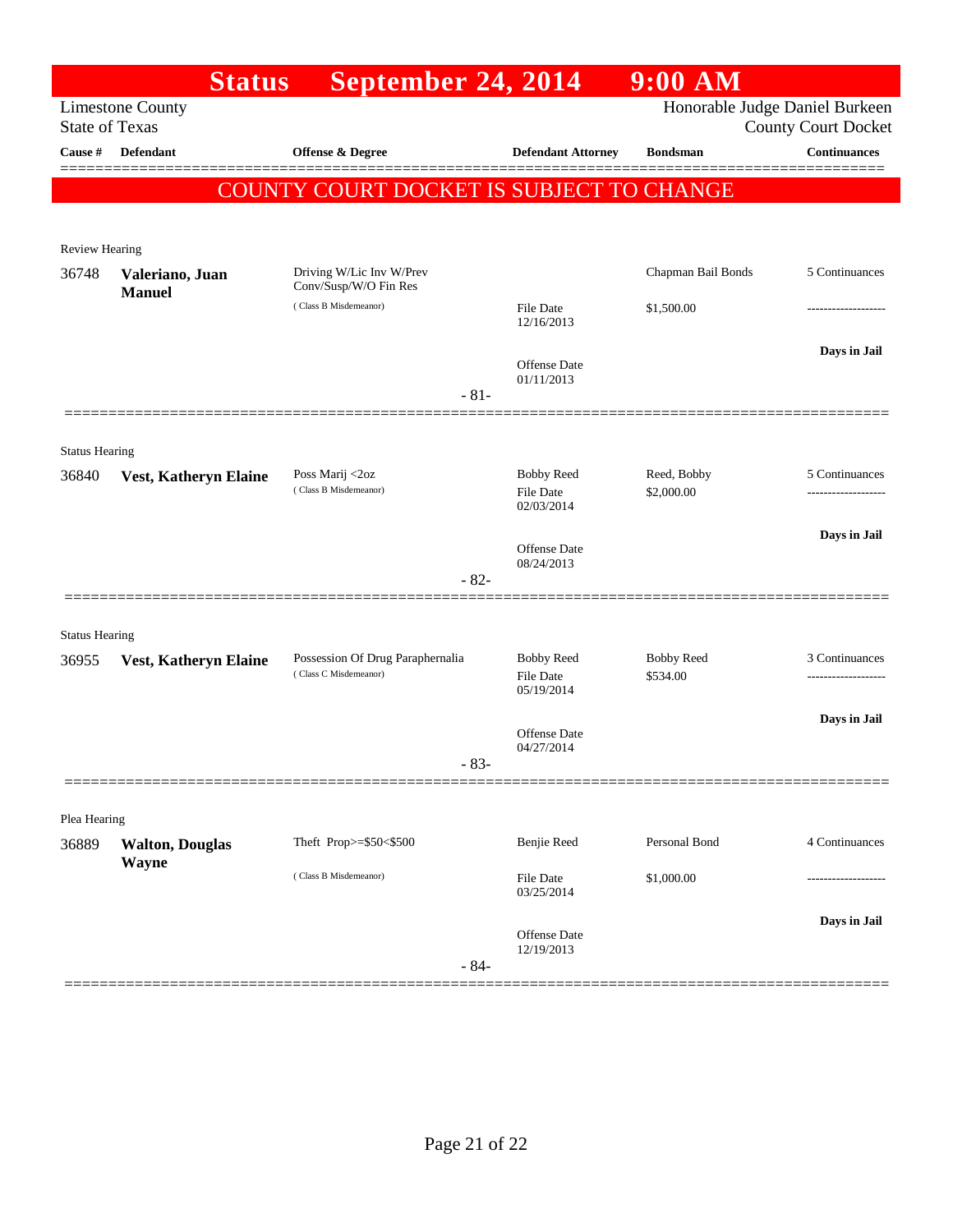|                                  | <b>Status</b>                    | September 24, 2014                                |                                   | $9:00$ AM                      |                                            |
|----------------------------------|----------------------------------|---------------------------------------------------|-----------------------------------|--------------------------------|--------------------------------------------|
|                                  | <b>Limestone County</b>          |                                                   |                                   | Honorable Judge Daniel Burkeen |                                            |
| <b>State of Texas</b><br>Cause # | Defendant                        | Offense & Degree                                  | <b>Defendant Attorney</b>         | <b>Bondsman</b>                | <b>County Court Docket</b><br>Continuances |
|                                  |                                  |                                                   |                                   |                                |                                            |
|                                  |                                  | COUNTY COURT DOCKET IS SUBJECT TO CHANGE          |                                   |                                |                                            |
|                                  |                                  |                                                   |                                   |                                |                                            |
| <b>Review Hearing</b>            |                                  |                                                   |                                   |                                |                                            |
| 36748                            | Valeriano, Juan<br><b>Manuel</b> | Driving W/Lic Inv W/Prev<br>Conv/Susp/W/O Fin Res |                                   | Chapman Bail Bonds             | 5 Continuances                             |
|                                  |                                  | (Class B Misdemeanor)                             | File Date<br>12/16/2013           | \$1,500.00                     |                                            |
|                                  |                                  |                                                   |                                   |                                |                                            |
|                                  |                                  |                                                   | <b>Offense</b> Date               |                                | Days in Jail                               |
|                                  |                                  | $-81-$                                            | 01/11/2013                        |                                |                                            |
|                                  |                                  |                                                   |                                   |                                |                                            |
| <b>Status Hearing</b>            |                                  |                                                   |                                   |                                |                                            |
| 36840                            | Vest, Katheryn Elaine            | Poss Marij <2oz<br>(Class B Misdemeanor)          | <b>Bobby Reed</b>                 | Reed, Bobby                    | 5 Continuances                             |
|                                  |                                  |                                                   | <b>File Date</b><br>02/03/2014    | \$2,000.00                     |                                            |
|                                  |                                  |                                                   |                                   |                                | Days in Jail                               |
|                                  |                                  |                                                   | <b>Offense</b> Date<br>08/24/2013 |                                |                                            |
|                                  |                                  | $-82-$                                            |                                   |                                |                                            |
|                                  |                                  |                                                   |                                   |                                |                                            |
| <b>Status Hearing</b><br>36955   |                                  | Possession Of Drug Paraphernalia                  | <b>Bobby Reed</b>                 | <b>Bobby Reed</b>              | 3 Continuances                             |
|                                  | Vest, Katheryn Elaine            | (Class C Misdemeanor)                             | <b>File Date</b>                  | \$534.00                       |                                            |
|                                  |                                  |                                                   | 05/19/2014                        |                                |                                            |
|                                  |                                  |                                                   | Offense Date                      |                                | Days in Jail                               |
|                                  |                                  | $83-$                                             | 04/27/2014                        |                                |                                            |
|                                  |                                  | ============                                      |                                   |                                |                                            |
| Plea Hearing                     |                                  |                                                   |                                   |                                |                                            |
| 36889                            | <b>Walton, Douglas</b>           | Theft Prop>=\$50<\$500                            | Benjie Reed                       | Personal Bond                  | 4 Continuances                             |
|                                  | <b>Wayne</b>                     | (Class B Misdemeanor)                             | File Date                         | \$1,000.00                     |                                            |
|                                  |                                  |                                                   | 03/25/2014                        |                                |                                            |
|                                  |                                  |                                                   | Offense Date                      |                                | Days in Jail                               |
|                                  |                                  | $-84-$                                            | 12/19/2013                        |                                |                                            |
|                                  |                                  |                                                   |                                   |                                |                                            |